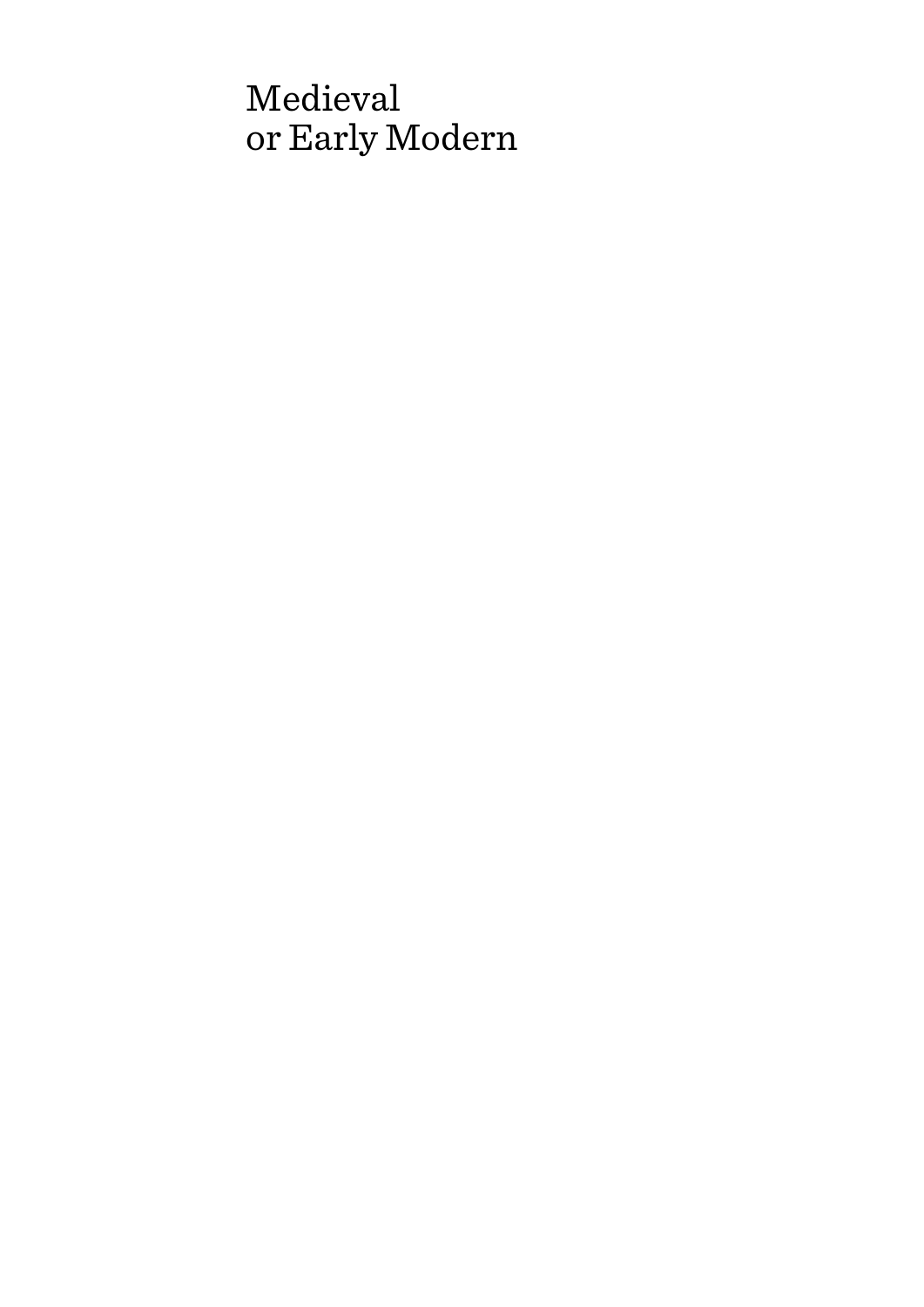# Medieval or Early Modern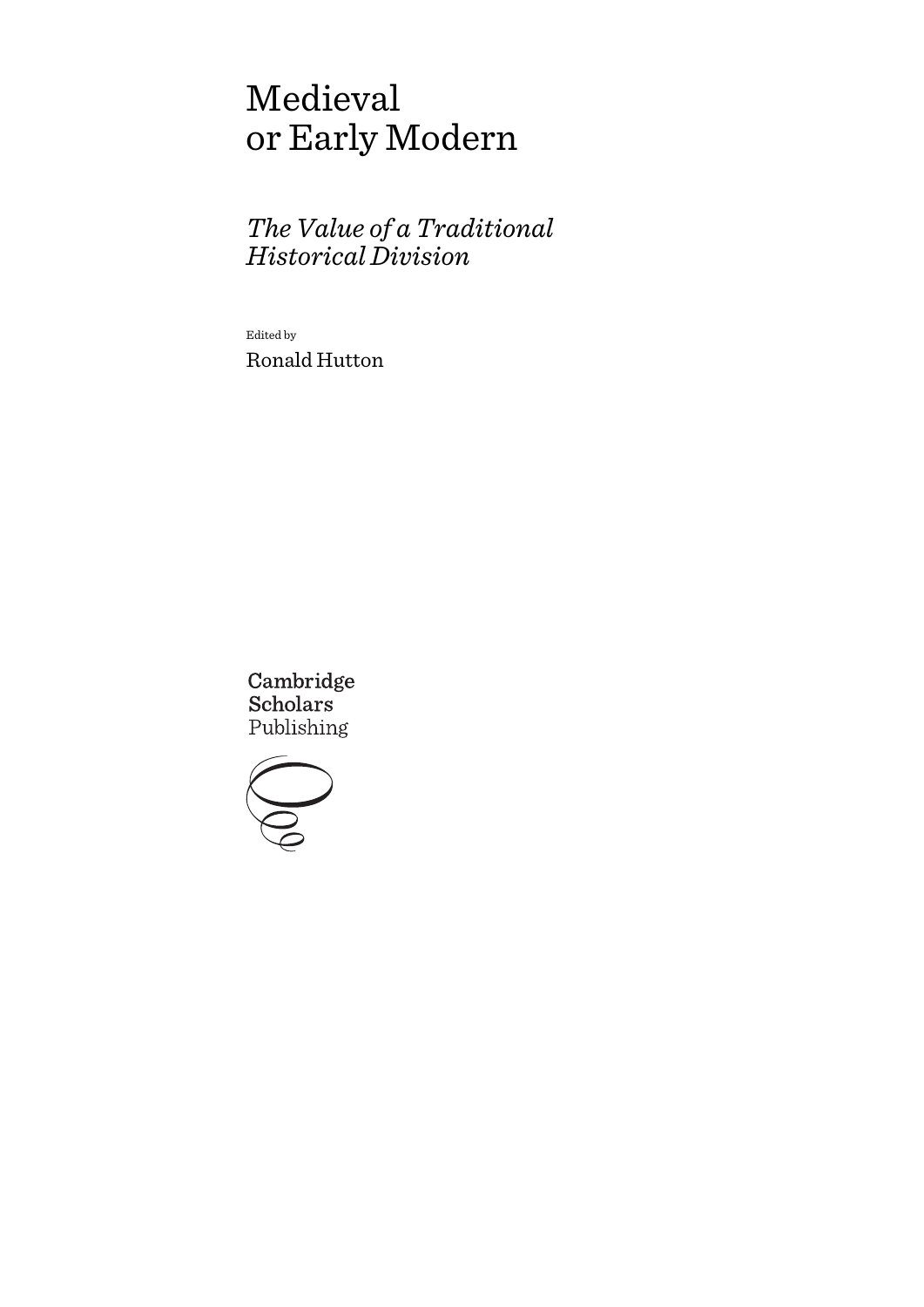# Medieval or Early Modern

# *The Value of a Traditional Historical Division*

Edited by Ronald Hutton

Cambridge **Scholars** Publishing

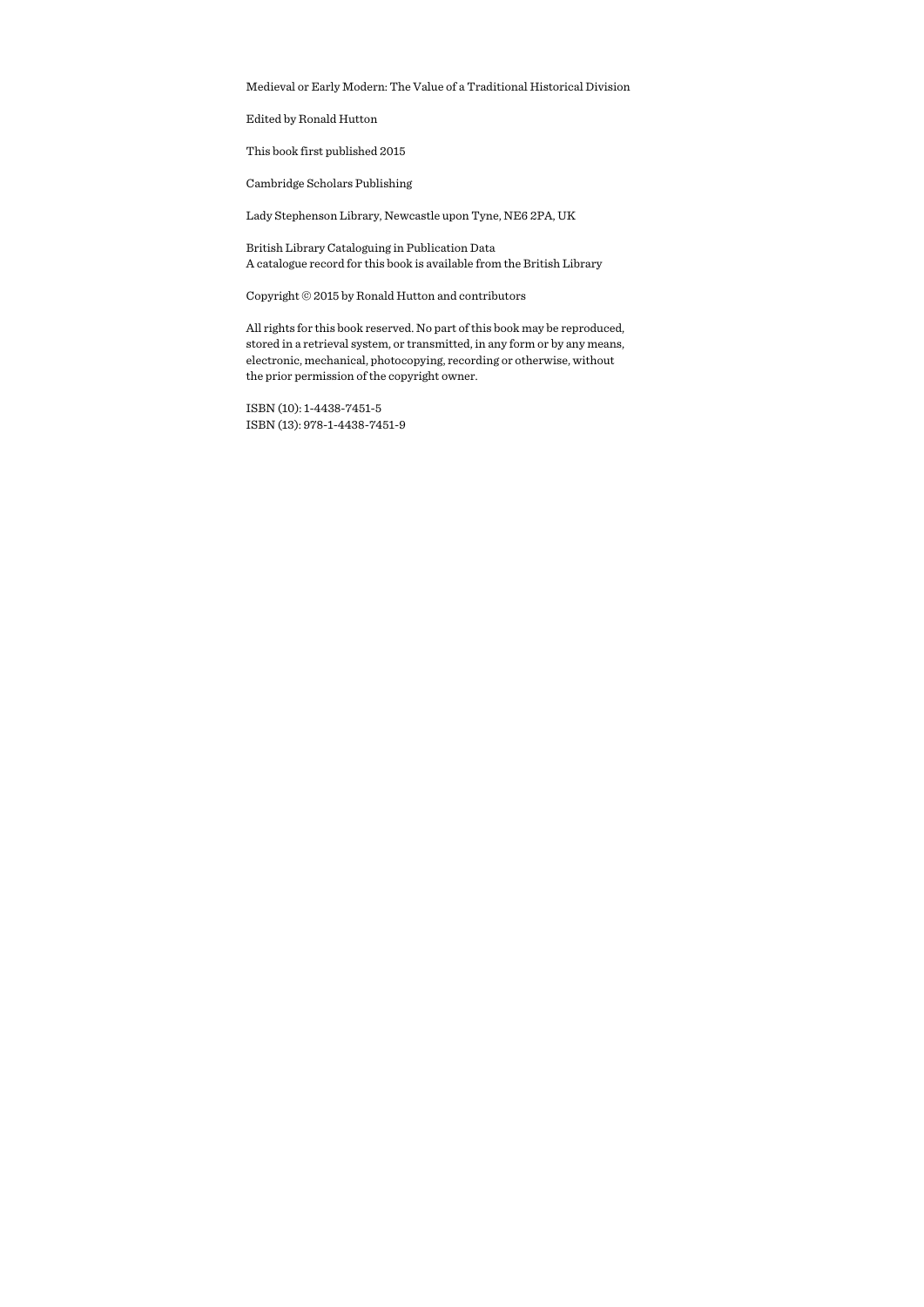Medieval or Early Modern: The Value of a Traditional Historical Division

Edited by Ronald Hutton

This book first published 2015

Cambridge Scholars Publishing

Lady Stephenson Library, Newcastle upon Tyne, NE6 2PA, UK

British Library Cataloguing in Publication Data A catalogue record for this book is available from the British Library

Copyright © 2015 by Ronald Hutton and contributors

All rights for this book reserved. No part of this book may be reproduced, stored in a retrieval system, or transmitted, in any form or by any means, electronic, mechanical, photocopying, recording or otherwise, without the prior permission of the copyright owner.

ISBN (10): 1-4438-7451-5 ISBN (13): 978-1-4438-7451-9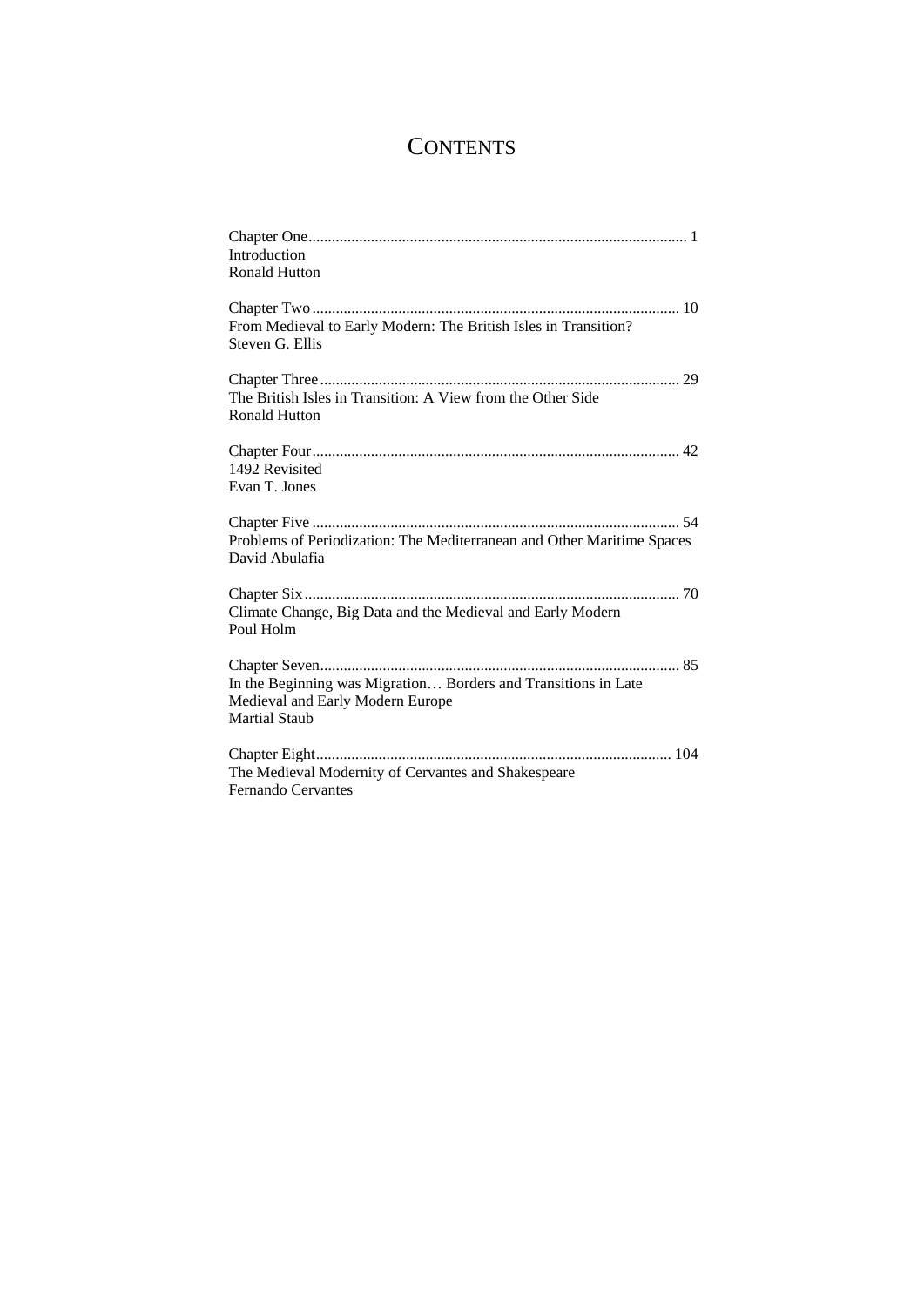# **CONTENTS**

| Introduction                                                                                                               |
|----------------------------------------------------------------------------------------------------------------------------|
| <b>Ronald Hutton</b>                                                                                                       |
| From Medieval to Early Modern: The British Isles in Transition?<br>Steven G. Ellis                                         |
|                                                                                                                            |
| The British Isles in Transition: A View from the Other Side<br><b>Ronald Hutton</b>                                        |
| 1492 Revisited<br>Evan T. Jones                                                                                            |
| Problems of Periodization: The Mediterranean and Other Maritime Spaces<br>David Abulafia                                   |
| Climate Change, Big Data and the Medieval and Early Modern<br>Poul Holm                                                    |
| In the Beginning was Migration Borders and Transitions in Late<br>Medieval and Early Modern Europe<br><b>Martial Staub</b> |
| The Medieval Modernity of Cervantes and Shakespeare<br><b>Fernando Cervantes</b>                                           |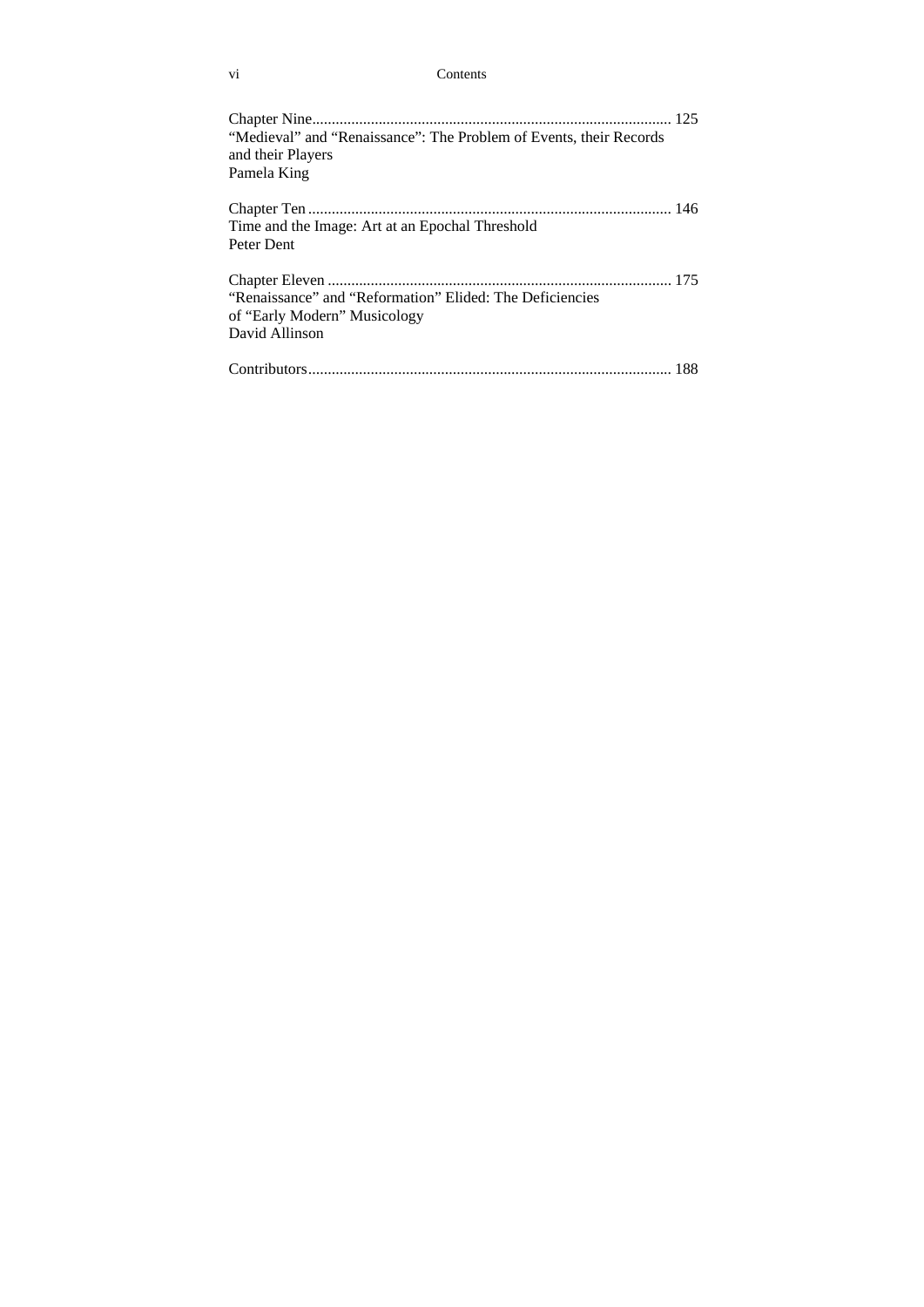#### vi Contents

| "Medieval" and "Renaissance": The Problem of Events, their Records<br>and their Players                    |  |
|------------------------------------------------------------------------------------------------------------|--|
| Pamela King                                                                                                |  |
| Time and the Image: Art at an Epochal Threshold<br>Peter Dent                                              |  |
| "Renaissance" and "Reformation" Elided: The Deficiencies<br>of "Early Modern" Musicology<br>David Allinson |  |
|                                                                                                            |  |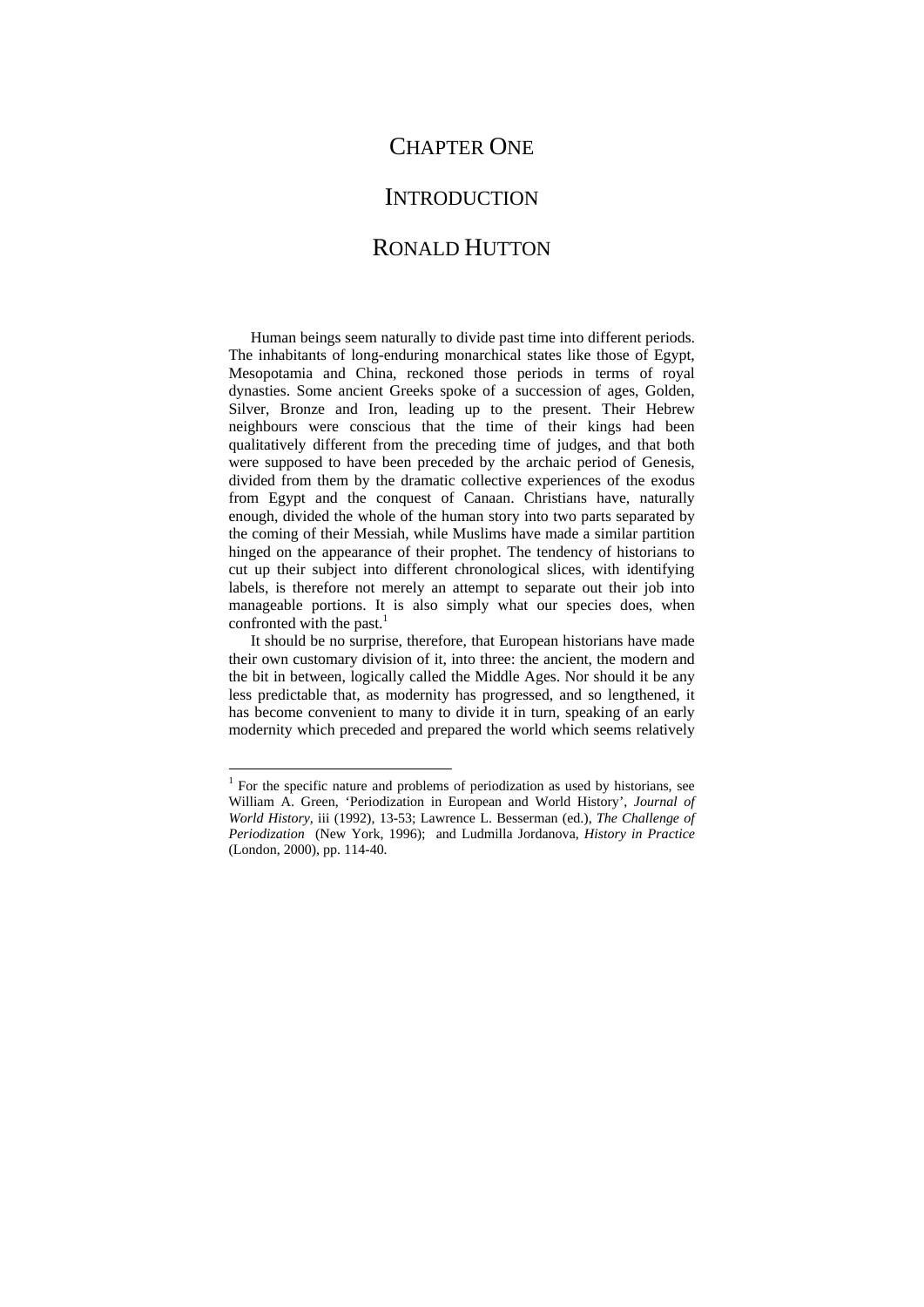### CHAPTER ONE

### **INTRODUCTION**

### RONALD HUTTON

Human beings seem naturally to divide past time into different periods. The inhabitants of long-enduring monarchical states like those of Egypt, Mesopotamia and China, reckoned those periods in terms of royal dynasties. Some ancient Greeks spoke of a succession of ages, Golden, Silver, Bronze and Iron, leading up to the present. Their Hebrew neighbours were conscious that the time of their kings had been qualitatively different from the preceding time of judges, and that both were supposed to have been preceded by the archaic period of Genesis, divided from them by the dramatic collective experiences of the exodus from Egypt and the conquest of Canaan. Christians have, naturally enough, divided the whole of the human story into two parts separated by the coming of their Messiah, while Muslims have made a similar partition hinged on the appearance of their prophet. The tendency of historians to cut up their subject into different chronological slices, with identifying labels, is therefore not merely an attempt to separate out their job into manageable portions. It is also simply what our species does, when confronted with the past. $<sup>1</sup>$ </sup>

It should be no surprise, therefore, that European historians have made their own customary division of it, into three: the ancient, the modern and the bit in between, logically called the Middle Ages. Nor should it be any less predictable that, as modernity has progressed, and so lengthened, it has become convenient to many to divide it in turn, speaking of an early modernity which preceded and prepared the world which seems relatively

<sup>&</sup>lt;sup>1</sup> For the specific nature and problems of periodization as used by historians, see William A. Green, 'Periodization in European and World History', *Journal of World History*, iii (1992), 13-53; Lawrence L. Besserman (ed.), *The Challenge of Periodization* (New York, 1996); and Ludmilla Jordanova, *History in Practice* (London, 2000), pp. 114-40.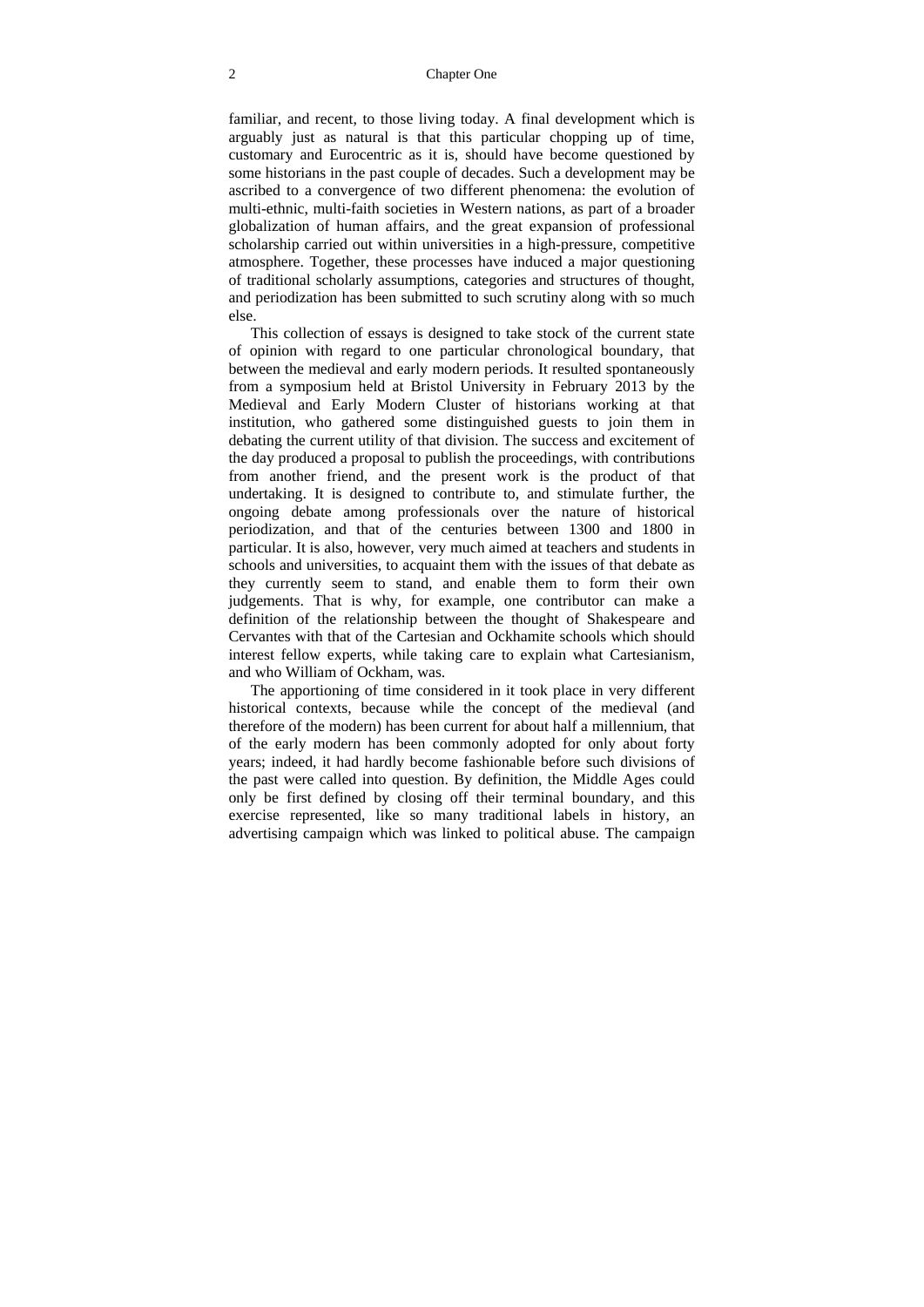#### 2 Chapter One

familiar, and recent, to those living today. A final development which is arguably just as natural is that this particular chopping up of time, customary and Eurocentric as it is, should have become questioned by some historians in the past couple of decades. Such a development may be ascribed to a convergence of two different phenomena: the evolution of multi-ethnic, multi-faith societies in Western nations, as part of a broader globalization of human affairs, and the great expansion of professional scholarship carried out within universities in a high-pressure, competitive atmosphere. Together, these processes have induced a major questioning of traditional scholarly assumptions, categories and structures of thought, and periodization has been submitted to such scrutiny along with so much else.

This collection of essays is designed to take stock of the current state of opinion with regard to one particular chronological boundary, that between the medieval and early modern periods. It resulted spontaneously from a symposium held at Bristol University in February 2013 by the Medieval and Early Modern Cluster of historians working at that institution, who gathered some distinguished guests to join them in debating the current utility of that division. The success and excitement of the day produced a proposal to publish the proceedings, with contributions from another friend, and the present work is the product of that undertaking. It is designed to contribute to, and stimulate further, the ongoing debate among professionals over the nature of historical periodization, and that of the centuries between 1300 and 1800 in particular. It is also, however, very much aimed at teachers and students in schools and universities, to acquaint them with the issues of that debate as they currently seem to stand, and enable them to form their own judgements. That is why, for example, one contributor can make a definition of the relationship between the thought of Shakespeare and Cervantes with that of the Cartesian and Ockhamite schools which should interest fellow experts, while taking care to explain what Cartesianism, and who William of Ockham, was.

The apportioning of time considered in it took place in very different historical contexts, because while the concept of the medieval (and therefore of the modern) has been current for about half a millennium, that of the early modern has been commonly adopted for only about forty years; indeed, it had hardly become fashionable before such divisions of the past were called into question. By definition, the Middle Ages could only be first defined by closing off their terminal boundary, and this exercise represented, like so many traditional labels in history, an advertising campaign which was linked to political abuse. The campaign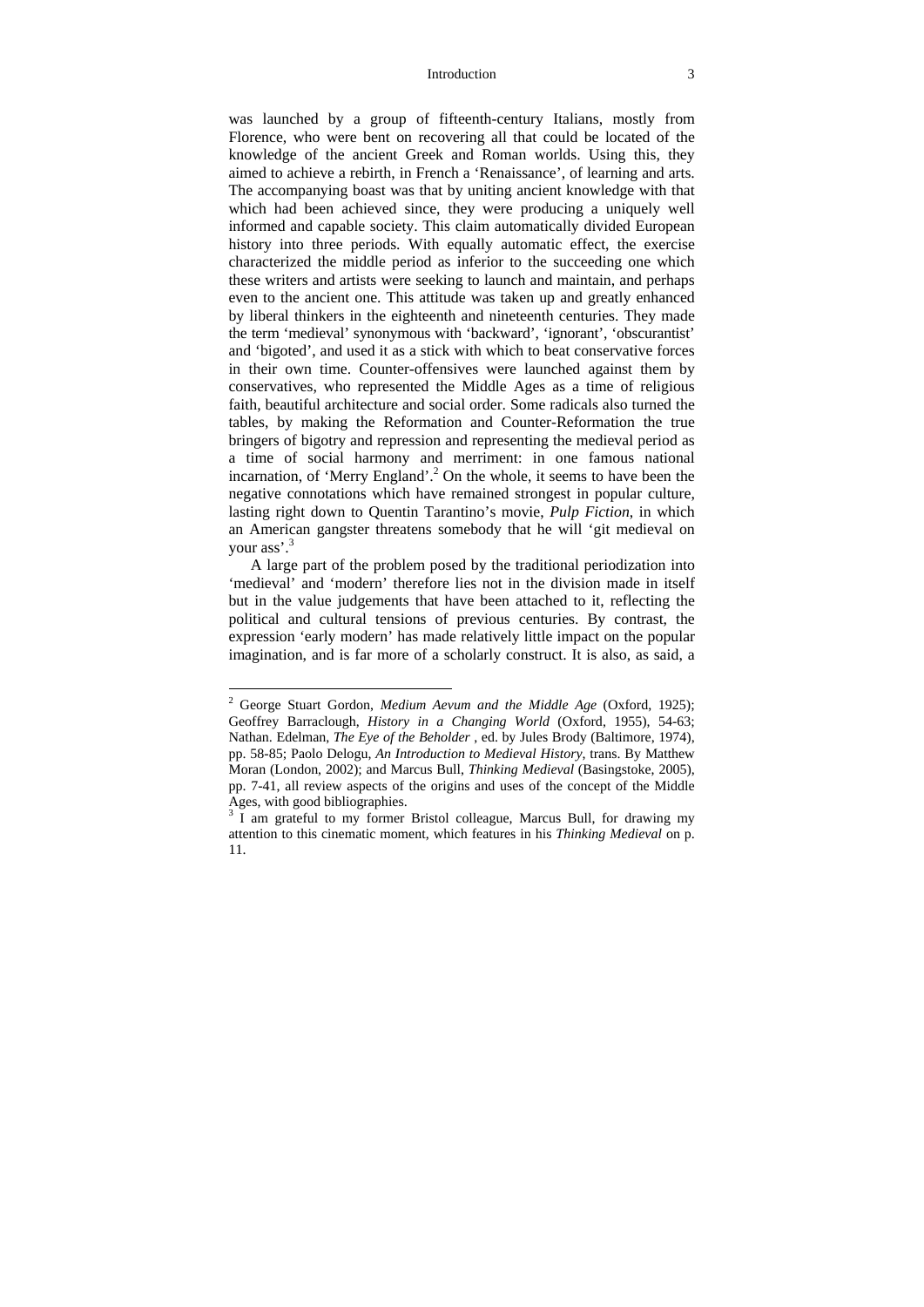#### Introduction 3

was launched by a group of fifteenth-century Italians, mostly from Florence, who were bent on recovering all that could be located of the knowledge of the ancient Greek and Roman worlds. Using this, they aimed to achieve a rebirth, in French a 'Renaissance', of learning and arts. The accompanying boast was that by uniting ancient knowledge with that which had been achieved since, they were producing a uniquely well informed and capable society. This claim automatically divided European history into three periods. With equally automatic effect, the exercise characterized the middle period as inferior to the succeeding one which these writers and artists were seeking to launch and maintain, and perhaps even to the ancient one. This attitude was taken up and greatly enhanced by liberal thinkers in the eighteenth and nineteenth centuries. They made the term 'medieval' synonymous with 'backward', 'ignorant', 'obscurantist' and 'bigoted', and used it as a stick with which to beat conservative forces in their own time. Counter-offensives were launched against them by conservatives, who represented the Middle Ages as a time of religious faith, beautiful architecture and social order. Some radicals also turned the tables, by making the Reformation and Counter-Reformation the true bringers of bigotry and repression and representing the medieval period as a time of social harmony and merriment: in one famous national incarnation, of 'Merry England'.<sup>2</sup> On the whole, it seems to have been the negative connotations which have remained strongest in popular culture, lasting right down to Quentin Tarantino's movie, *Pulp Fiction*, in which an American gangster threatens somebody that he will 'git medieval on your ass'.<sup>3</sup>

A large part of the problem posed by the traditional periodization into 'medieval' and 'modern' therefore lies not in the division made in itself but in the value judgements that have been attached to it, reflecting the political and cultural tensions of previous centuries. By contrast, the expression 'early modern' has made relatively little impact on the popular imagination, and is far more of a scholarly construct. It is also, as said, a

<sup>2</sup> George Stuart Gordon, *Medium Aevum and the Middle Age* (Oxford, 1925); Geoffrey Barraclough, *History in a Changing World* (Oxford, 1955), 54-63; Nathan. Edelman, *The Eye of the Beholder* , ed. by Jules Brody (Baltimore, 1974), pp. 58-85; Paolo Delogu, *An Introduction to Medieval History*, trans. By Matthew Moran (London, 2002); and Marcus Bull, *Thinking Medieval* (Basingstoke, 2005), pp. 7-41, all review aspects of the origins and uses of the concept of the Middle Ages, with good bibliographies.

<sup>&</sup>lt;sup>3</sup> I am grateful to my former Bristol colleague, Marcus Bull, for drawing my attention to this cinematic moment, which features in his *Thinking Medieval* on p. 11.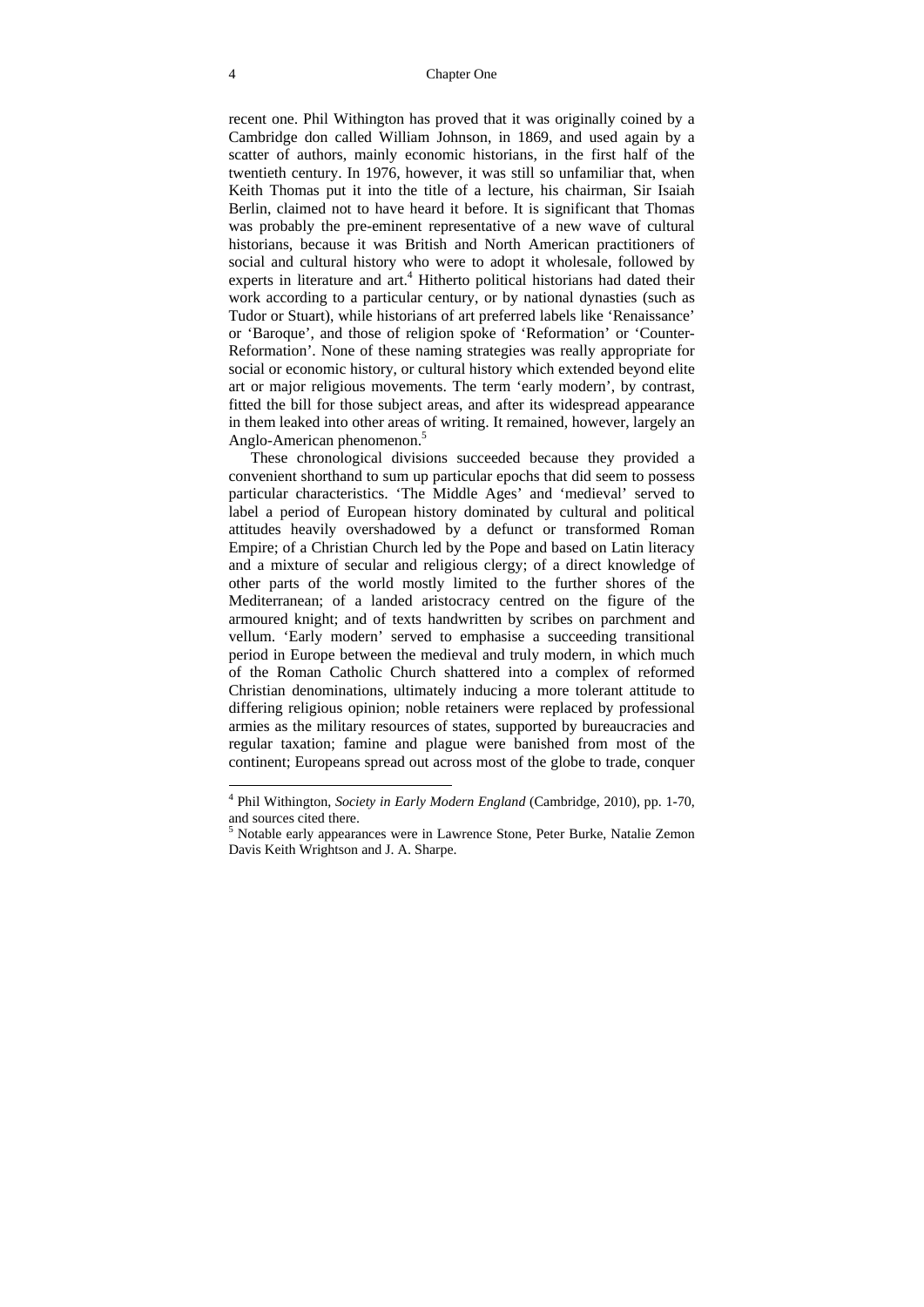recent one. Phil Withington has proved that it was originally coined by a Cambridge don called William Johnson, in 1869, and used again by a scatter of authors, mainly economic historians, in the first half of the twentieth century. In 1976, however, it was still so unfamiliar that, when Keith Thomas put it into the title of a lecture, his chairman, Sir Isaiah Berlin, claimed not to have heard it before. It is significant that Thomas was probably the pre-eminent representative of a new wave of cultural historians, because it was British and North American practitioners of social and cultural history who were to adopt it wholesale, followed by experts in literature and art.<sup>4</sup> Hitherto political historians had dated their work according to a particular century, or by national dynasties (such as Tudor or Stuart), while historians of art preferred labels like 'Renaissance' or 'Baroque', and those of religion spoke of 'Reformation' or 'Counter-Reformation'. None of these naming strategies was really appropriate for social or economic history, or cultural history which extended beyond elite art or major religious movements. The term 'early modern', by contrast, fitted the bill for those subject areas, and after its widespread appearance in them leaked into other areas of writing. It remained, however, largely an Anglo-American phenomenon.5

These chronological divisions succeeded because they provided a convenient shorthand to sum up particular epochs that did seem to possess particular characteristics. 'The Middle Ages' and 'medieval' served to label a period of European history dominated by cultural and political attitudes heavily overshadowed by a defunct or transformed Roman Empire; of a Christian Church led by the Pope and based on Latin literacy and a mixture of secular and religious clergy; of a direct knowledge of other parts of the world mostly limited to the further shores of the Mediterranean; of a landed aristocracy centred on the figure of the armoured knight; and of texts handwritten by scribes on parchment and vellum. 'Early modern' served to emphasise a succeeding transitional period in Europe between the medieval and truly modern, in which much of the Roman Catholic Church shattered into a complex of reformed Christian denominations, ultimately inducing a more tolerant attitude to differing religious opinion; noble retainers were replaced by professional armies as the military resources of states, supported by bureaucracies and regular taxation; famine and plague were banished from most of the continent; Europeans spread out across most of the globe to trade, conquer

<sup>4</sup> Phil Withington, *Society in Early Modern England* (Cambridge, 2010), pp. 1-70, and sources cited there.

<sup>&</sup>lt;sup>5</sup> Notable early appearances were in Lawrence Stone, Peter Burke, Natalie Zemon Davis Keith Wrightson and J. A. Sharpe.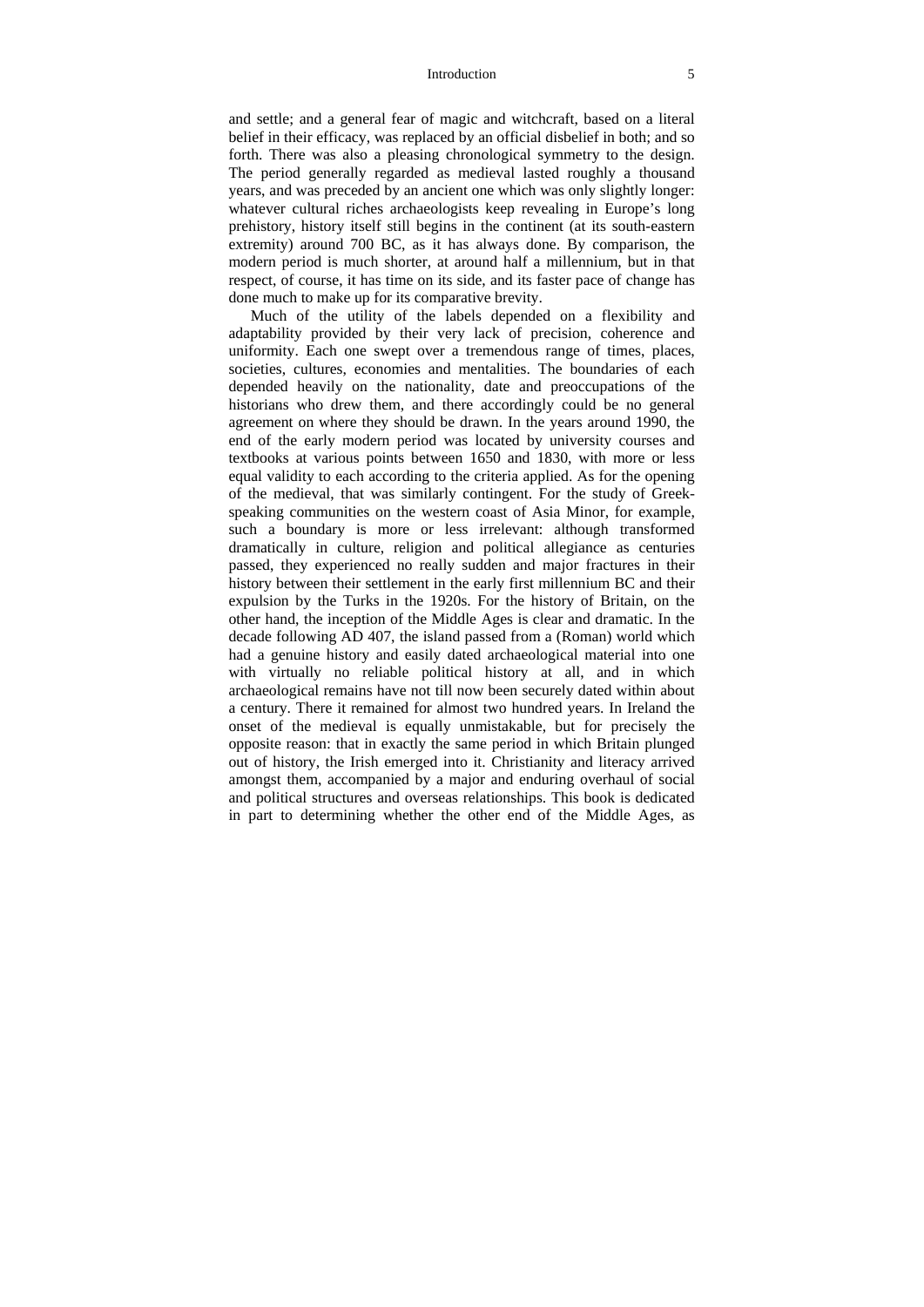#### Introduction 5

and settle; and a general fear of magic and witchcraft, based on a literal belief in their efficacy, was replaced by an official disbelief in both; and so forth. There was also a pleasing chronological symmetry to the design. The period generally regarded as medieval lasted roughly a thousand years, and was preceded by an ancient one which was only slightly longer: whatever cultural riches archaeologists keep revealing in Europe's long prehistory, history itself still begins in the continent (at its south-eastern extremity) around 700 BC, as it has always done. By comparison, the modern period is much shorter, at around half a millennium, but in that respect, of course, it has time on its side, and its faster pace of change has done much to make up for its comparative brevity.

Much of the utility of the labels depended on a flexibility and adaptability provided by their very lack of precision, coherence and uniformity. Each one swept over a tremendous range of times, places, societies, cultures, economies and mentalities. The boundaries of each depended heavily on the nationality, date and preoccupations of the historians who drew them, and there accordingly could be no general agreement on where they should be drawn. In the years around 1990, the end of the early modern period was located by university courses and textbooks at various points between 1650 and 1830, with more or less equal validity to each according to the criteria applied. As for the opening of the medieval, that was similarly contingent. For the study of Greekspeaking communities on the western coast of Asia Minor, for example, such a boundary is more or less irrelevant: although transformed dramatically in culture, religion and political allegiance as centuries passed, they experienced no really sudden and major fractures in their history between their settlement in the early first millennium BC and their expulsion by the Turks in the 1920s. For the history of Britain, on the other hand, the inception of the Middle Ages is clear and dramatic. In the decade following AD 407, the island passed from a (Roman) world which had a genuine history and easily dated archaeological material into one with virtually no reliable political history at all, and in which archaeological remains have not till now been securely dated within about a century. There it remained for almost two hundred years. In Ireland the onset of the medieval is equally unmistakable, but for precisely the opposite reason: that in exactly the same period in which Britain plunged out of history, the Irish emerged into it. Christianity and literacy arrived amongst them, accompanied by a major and enduring overhaul of social and political structures and overseas relationships. This book is dedicated in part to determining whether the other end of the Middle Ages, as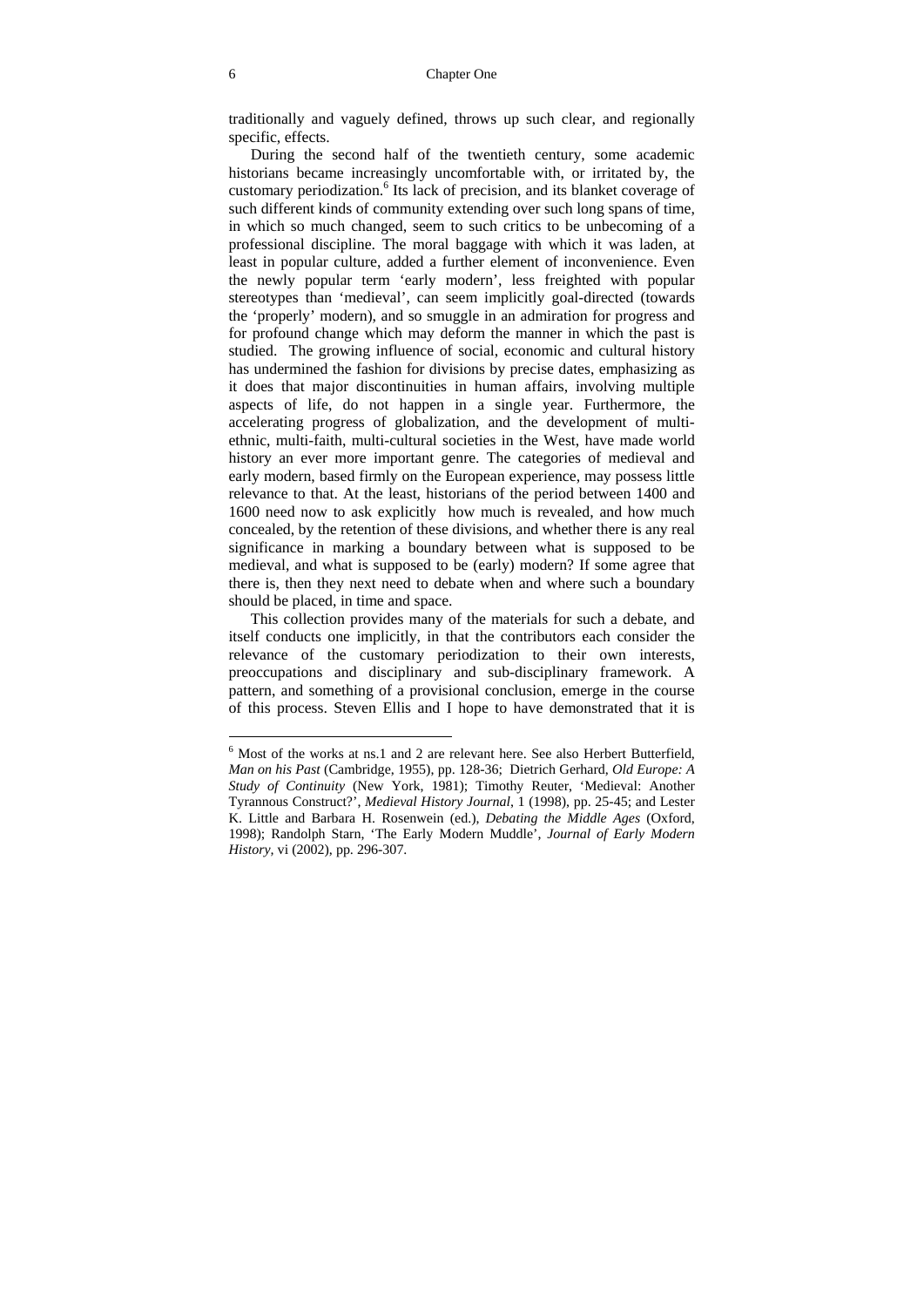traditionally and vaguely defined, throws up such clear, and regionally specific, effects.

During the second half of the twentieth century, some academic historians became increasingly uncomfortable with, or irritated by, the customary periodization.<sup>6</sup> Its lack of precision, and its blanket coverage of such different kinds of community extending over such long spans of time, in which so much changed, seem to such critics to be unbecoming of a professional discipline. The moral baggage with which it was laden, at least in popular culture, added a further element of inconvenience. Even the newly popular term 'early modern', less freighted with popular stereotypes than 'medieval', can seem implicitly goal-directed (towards the 'properly' modern), and so smuggle in an admiration for progress and for profound change which may deform the manner in which the past is studied. The growing influence of social, economic and cultural history has undermined the fashion for divisions by precise dates, emphasizing as it does that major discontinuities in human affairs, involving multiple aspects of life, do not happen in a single year. Furthermore, the accelerating progress of globalization, and the development of multiethnic, multi-faith, multi-cultural societies in the West, have made world history an ever more important genre. The categories of medieval and early modern, based firmly on the European experience, may possess little relevance to that. At the least, historians of the period between 1400 and 1600 need now to ask explicitly how much is revealed, and how much concealed, by the retention of these divisions, and whether there is any real significance in marking a boundary between what is supposed to be medieval, and what is supposed to be (early) modern? If some agree that there is, then they next need to debate when and where such a boundary should be placed, in time and space.

This collection provides many of the materials for such a debate, and itself conducts one implicitly, in that the contributors each consider the relevance of the customary periodization to their own interests, preoccupations and disciplinary and sub-disciplinary framework. A pattern, and something of a provisional conclusion, emerge in the course of this process. Steven Ellis and I hope to have demonstrated that it is

<sup>&</sup>lt;sup>6</sup> Most of the works at ns.1 and 2 are relevant here. See also Herbert Butterfield, *Man on his Past* (Cambridge, 1955), pp. 128-36; Dietrich Gerhard, *Old Europe: A Study of Continuity* (New York, 1981); Timothy Reuter, 'Medieval: Another Tyrannous Construct?', *Medieval History Journal*, 1 (1998), pp. 25-45; and Lester K. Little and Barbara H. Rosenwein (ed.), *Debating the Middle Ages* (Oxford, 1998); Randolph Starn, 'The Early Modern Muddle', *Journal of Early Modern History,* vi (2002), pp. 296-307.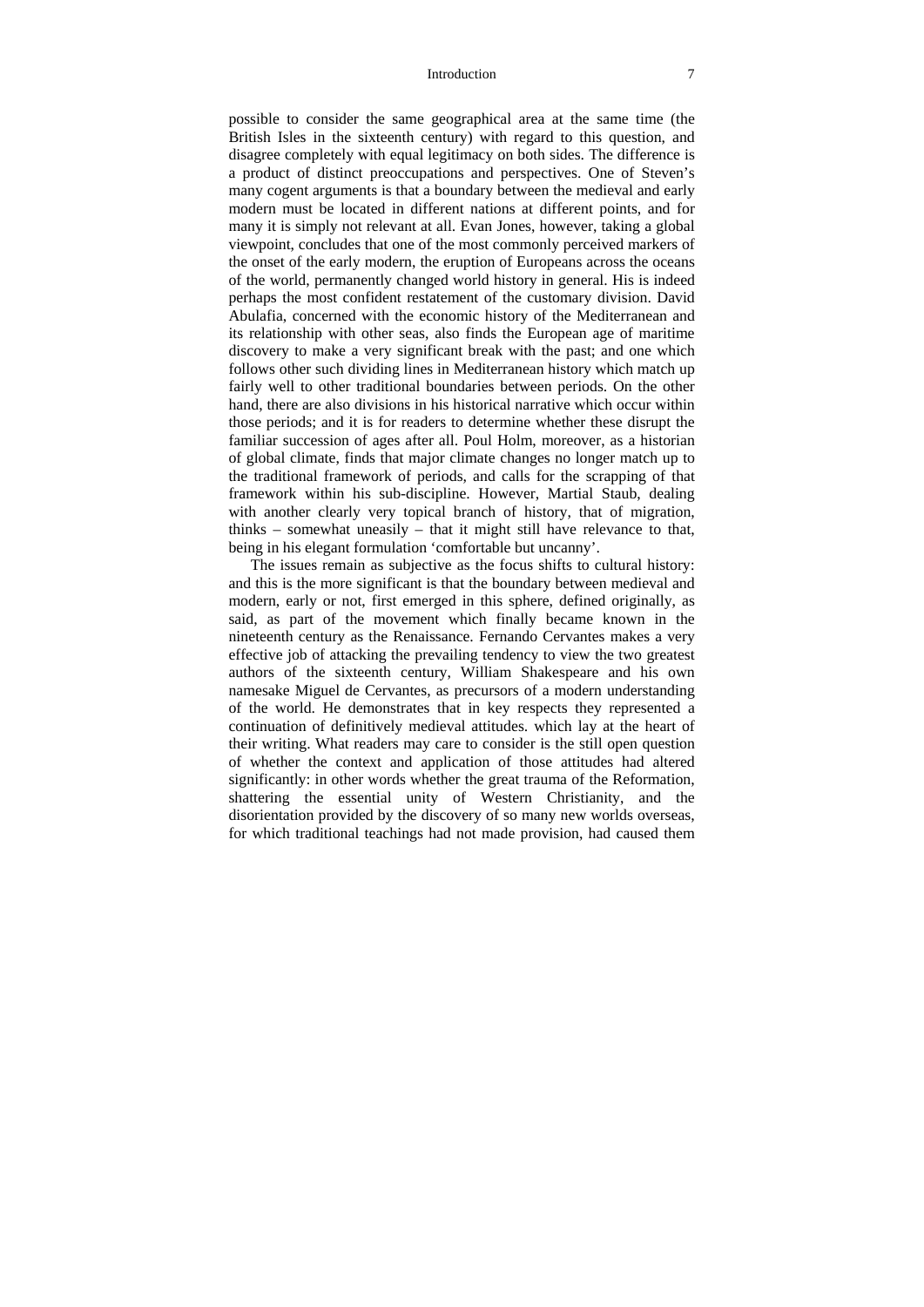#### Introduction 7

possible to consider the same geographical area at the same time (the British Isles in the sixteenth century) with regard to this question, and disagree completely with equal legitimacy on both sides. The difference is a product of distinct preoccupations and perspectives. One of Steven's many cogent arguments is that a boundary between the medieval and early modern must be located in different nations at different points, and for many it is simply not relevant at all. Evan Jones, however, taking a global viewpoint, concludes that one of the most commonly perceived markers of the onset of the early modern, the eruption of Europeans across the oceans of the world, permanently changed world history in general. His is indeed perhaps the most confident restatement of the customary division. David Abulafia, concerned with the economic history of the Mediterranean and its relationship with other seas, also finds the European age of maritime discovery to make a very significant break with the past; and one which follows other such dividing lines in Mediterranean history which match up fairly well to other traditional boundaries between periods. On the other hand, there are also divisions in his historical narrative which occur within those periods; and it is for readers to determine whether these disrupt the familiar succession of ages after all. Poul Holm, moreover, as a historian of global climate, finds that major climate changes no longer match up to the traditional framework of periods, and calls for the scrapping of that framework within his sub-discipline. However, Martial Staub, dealing with another clearly very topical branch of history, that of migration, thinks – somewhat uneasily – that it might still have relevance to that, being in his elegant formulation 'comfortable but uncanny'.

The issues remain as subjective as the focus shifts to cultural history: and this is the more significant is that the boundary between medieval and modern, early or not, first emerged in this sphere, defined originally, as said, as part of the movement which finally became known in the nineteenth century as the Renaissance. Fernando Cervantes makes a very effective job of attacking the prevailing tendency to view the two greatest authors of the sixteenth century, William Shakespeare and his own namesake Miguel de Cervantes, as precursors of a modern understanding of the world. He demonstrates that in key respects they represented a continuation of definitively medieval attitudes. which lay at the heart of their writing. What readers may care to consider is the still open question of whether the context and application of those attitudes had altered significantly: in other words whether the great trauma of the Reformation, shattering the essential unity of Western Christianity, and the disorientation provided by the discovery of so many new worlds overseas, for which traditional teachings had not made provision, had caused them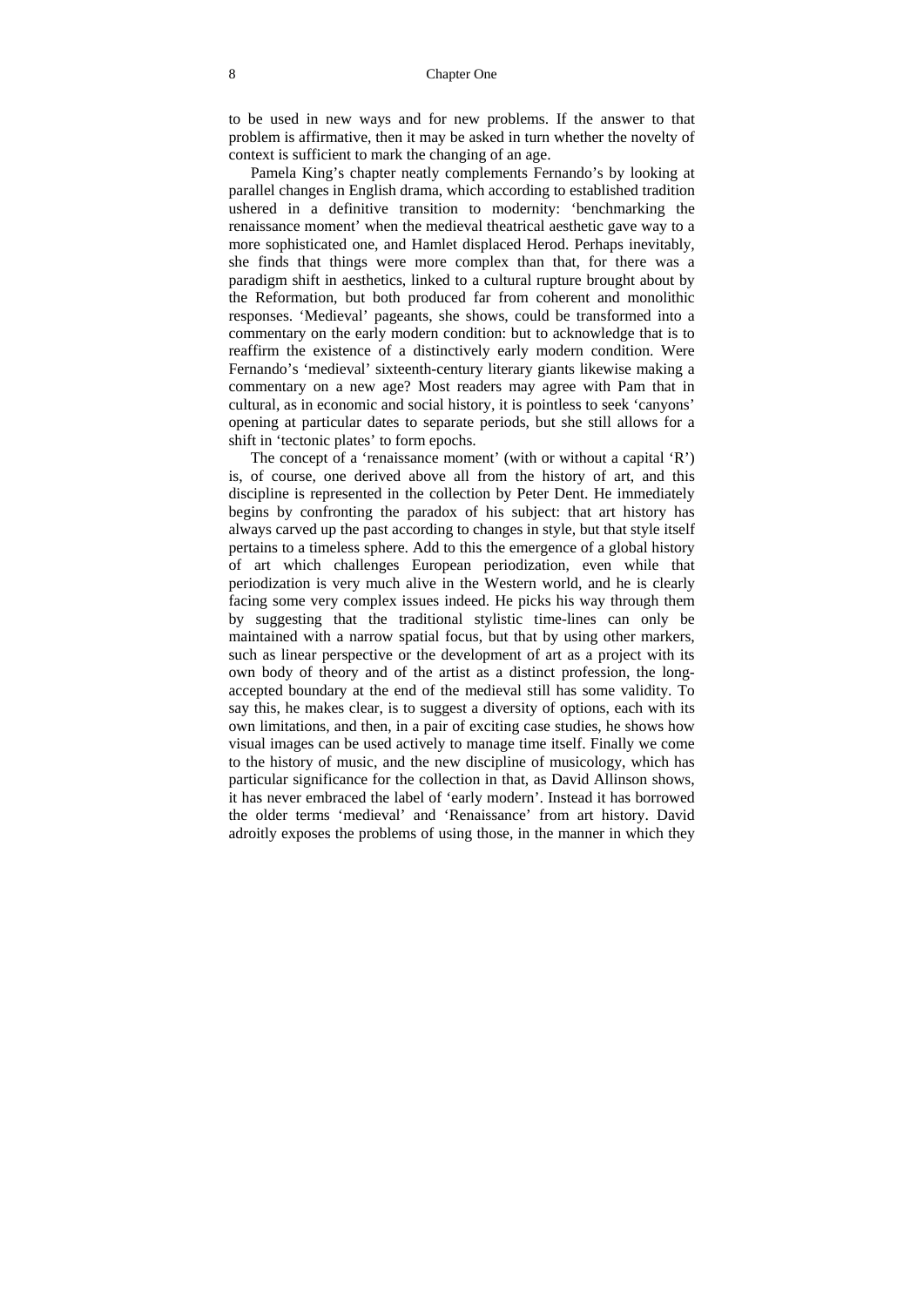to be used in new ways and for new problems. If the answer to that problem is affirmative, then it may be asked in turn whether the novelty of context is sufficient to mark the changing of an age.

Pamela King's chapter neatly complements Fernando's by looking at parallel changes in English drama, which according to established tradition ushered in a definitive transition to modernity: 'benchmarking the renaissance moment' when the medieval theatrical aesthetic gave way to a more sophisticated one, and Hamlet displaced Herod. Perhaps inevitably, she finds that things were more complex than that, for there was a paradigm shift in aesthetics, linked to a cultural rupture brought about by the Reformation, but both produced far from coherent and monolithic responses. 'Medieval' pageants, she shows, could be transformed into a commentary on the early modern condition: but to acknowledge that is to reaffirm the existence of a distinctively early modern condition. Were Fernando's 'medieval' sixteenth-century literary giants likewise making a commentary on a new age? Most readers may agree with Pam that in cultural, as in economic and social history, it is pointless to seek 'canyons' opening at particular dates to separate periods, but she still allows for a shift in 'tectonic plates' to form epochs.

The concept of a 'renaissance moment' (with or without a capital 'R') is, of course, one derived above all from the history of art, and this discipline is represented in the collection by Peter Dent. He immediately begins by confronting the paradox of his subject: that art history has always carved up the past according to changes in style, but that style itself pertains to a timeless sphere. Add to this the emergence of a global history of art which challenges European periodization, even while that periodization is very much alive in the Western world, and he is clearly facing some very complex issues indeed. He picks his way through them by suggesting that the traditional stylistic time-lines can only be maintained with a narrow spatial focus, but that by using other markers, such as linear perspective or the development of art as a project with its own body of theory and of the artist as a distinct profession, the longaccepted boundary at the end of the medieval still has some validity. To say this, he makes clear, is to suggest a diversity of options, each with its own limitations, and then, in a pair of exciting case studies, he shows how visual images can be used actively to manage time itself. Finally we come to the history of music, and the new discipline of musicology, which has particular significance for the collection in that, as David Allinson shows, it has never embraced the label of 'early modern'. Instead it has borrowed the older terms 'medieval' and 'Renaissance' from art history. David adroitly exposes the problems of using those, in the manner in which they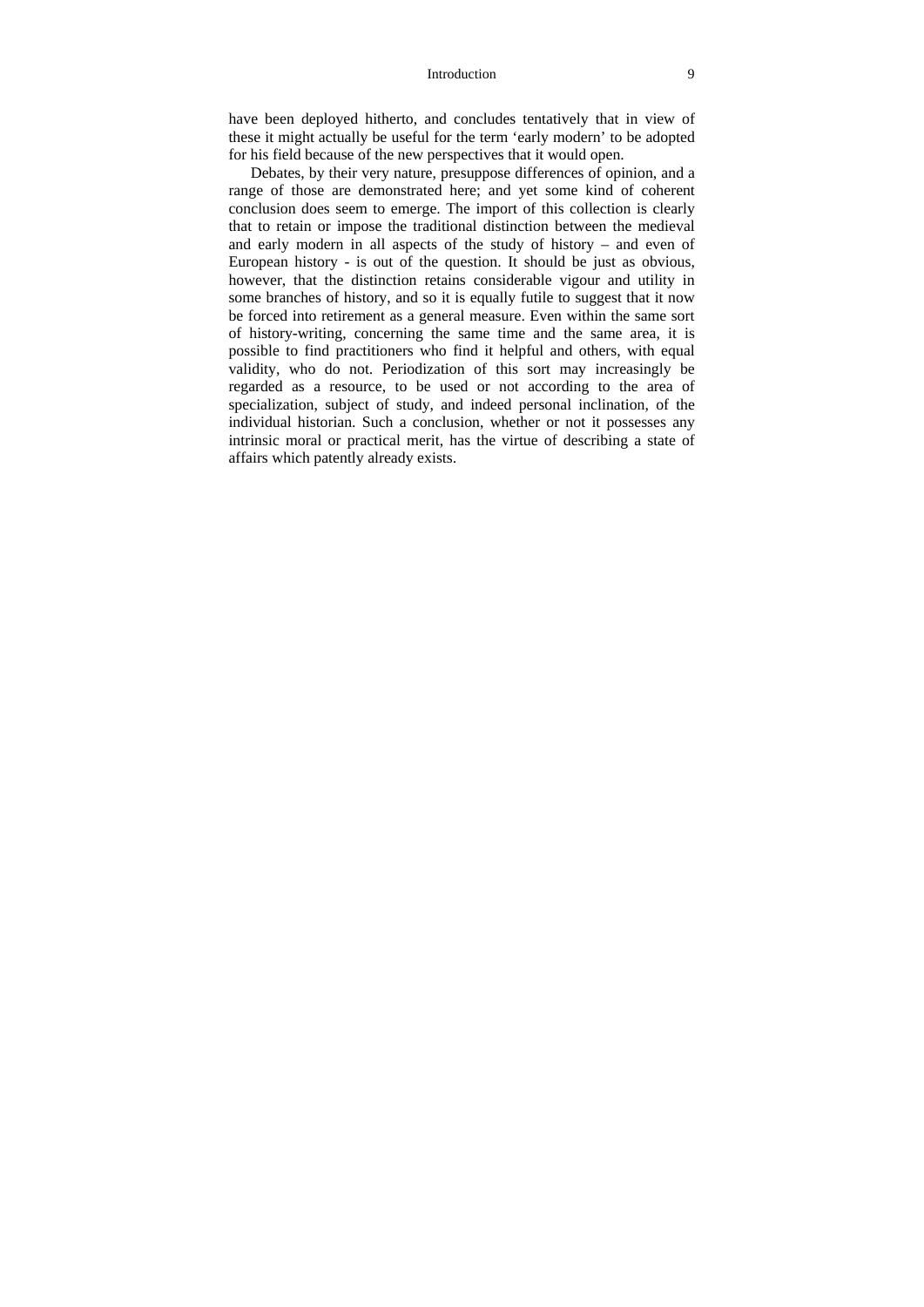#### Introduction 9

have been deployed hitherto, and concludes tentatively that in view of these it might actually be useful for the term 'early modern' to be adopted for his field because of the new perspectives that it would open.

Debates, by their very nature, presuppose differences of opinion, and a range of those are demonstrated here; and yet some kind of coherent conclusion does seem to emerge. The import of this collection is clearly that to retain or impose the traditional distinction between the medieval and early modern in all aspects of the study of history – and even of European history - is out of the question. It should be just as obvious, however, that the distinction retains considerable vigour and utility in some branches of history, and so it is equally futile to suggest that it now be forced into retirement as a general measure. Even within the same sort of history-writing, concerning the same time and the same area, it is possible to find practitioners who find it helpful and others, with equal validity, who do not. Periodization of this sort may increasingly be regarded as a resource, to be used or not according to the area of specialization, subject of study, and indeed personal inclination, of the individual historian. Such a conclusion, whether or not it possesses any intrinsic moral or practical merit, has the virtue of describing a state of affairs which patently already exists.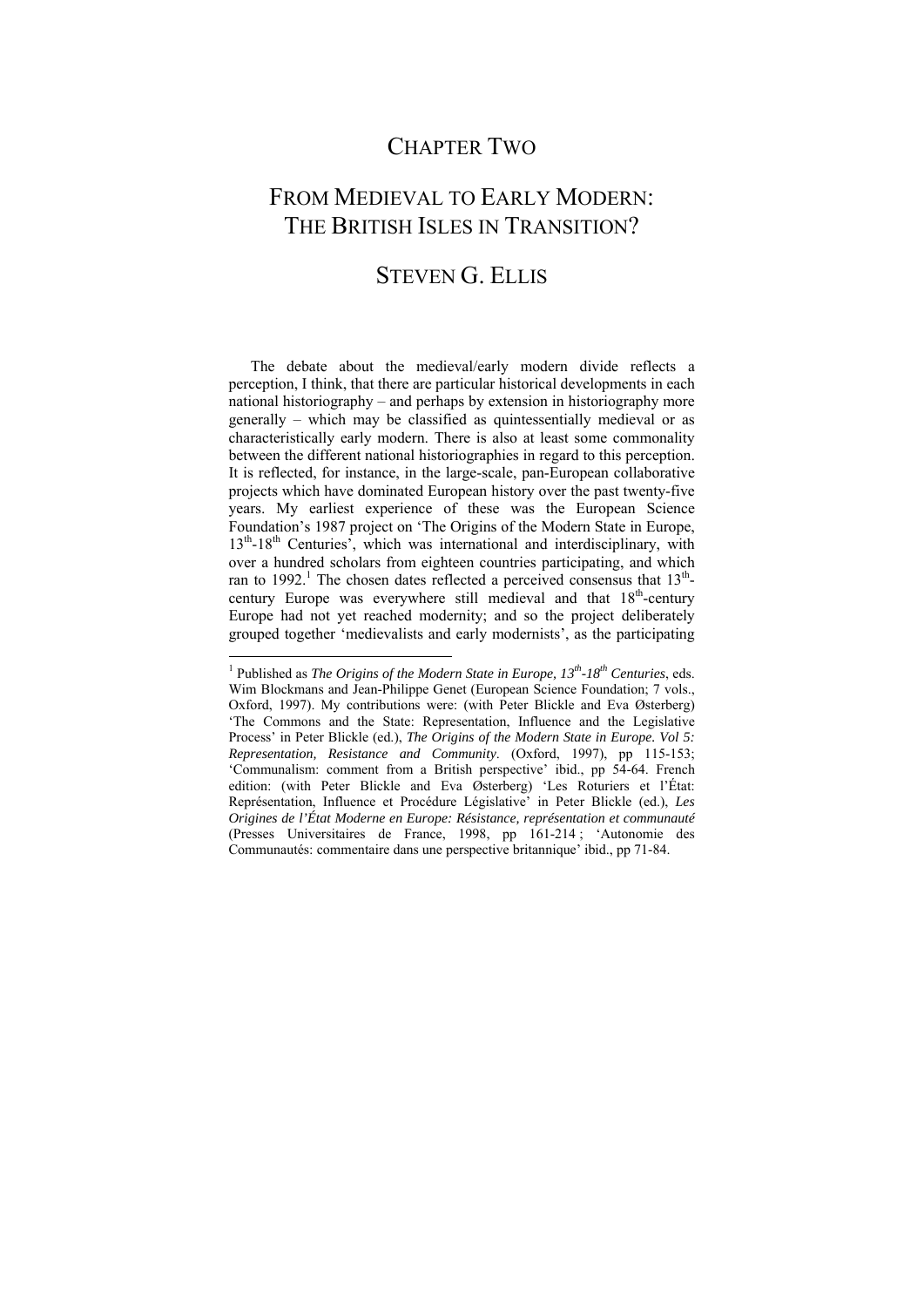## CHAPTER TWO

# FROM MEDIEVAL TO EARLY MODERN: THE BRITISH ISLES IN TRANSITION?

## STEVEN G. ELLIS

The debate about the medieval/early modern divide reflects a perception, I think, that there are particular historical developments in each national historiography – and perhaps by extension in historiography more generally – which may be classified as quintessentially medieval or as characteristically early modern. There is also at least some commonality between the different national historiographies in regard to this perception. It is reflected, for instance, in the large-scale, pan-European collaborative projects which have dominated European history over the past twenty-five years. My earliest experience of these was the European Science Foundation's 1987 project on 'The Origins of the Modern State in Europe,  $13<sup>th</sup>$ -18<sup>th</sup> Centuries', which was international and interdisciplinary, with over a hundred scholars from eighteen countries participating, and which ran to 1992.<sup>1</sup> The chosen dates reflected a perceived consensus that  $13<sup>th</sup>$ century Europe was everywhere still medieval and that  $18<sup>th</sup>$ -century Europe had not yet reached modernity; and so the project deliberately grouped together 'medievalists and early modernists', as the participating

<sup>&</sup>lt;sup>1</sup> Published as *The Origins of the Modern State in Europe*, 13<sup>th</sup>-18<sup>th</sup> Centuries, eds. Wim Blockmans and Jean-Philippe Genet (European Science Foundation; 7 vols., Oxford, 1997). My contributions were: (with Peter Blickle and Eva Østerberg) 'The Commons and the State: Representation, Influence and the Legislative Process' in Peter Blickle (ed.), *The Origins of the Modern State in Europe. Vol 5: Representation, Resistance and Community*. (Oxford, 1997), pp 115-153; 'Communalism: comment from a British perspective' ibid., pp 54-64. French edition: (with Peter Blickle and Eva Østerberg) 'Les Roturiers et l'État: Représentation, Influence et Procédure Législative' in Peter Blickle (ed.), *Les Origines de l'État Moderne en Europe: Résistance, représentation et communauté* (Presses Universitaires de France, 1998, pp 161-214 ; 'Autonomie des Communautés: commentaire dans une perspective britannique' ibid., pp 71-84.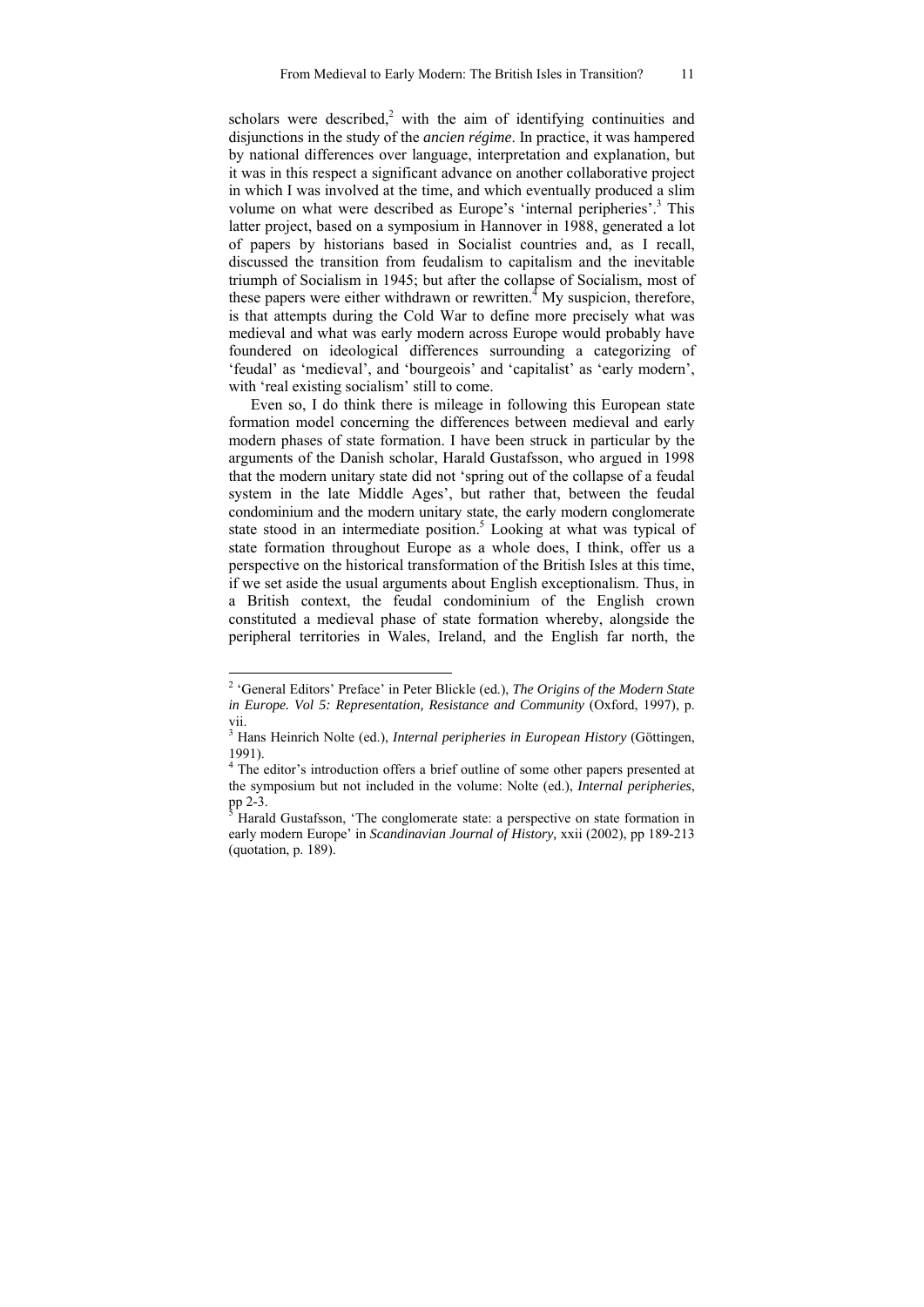scholars were described, $2$  with the aim of identifying continuities and disjunctions in the study of the *ancien régime*. In practice, it was hampered by national differences over language, interpretation and explanation, but it was in this respect a significant advance on another collaborative project in which I was involved at the time, and which eventually produced a slim volume on what were described as Europe's 'internal peripheries'.<sup>3</sup> This latter project, based on a symposium in Hannover in 1988, generated a lot of papers by historians based in Socialist countries and, as I recall, discussed the transition from feudalism to capitalism and the inevitable triumph of Socialism in 1945; but after the collapse of Socialism, most of these papers were either withdrawn or rewritten.<sup>4</sup> My suspicion, therefore, is that attempts during the Cold War to define more precisely what was medieval and what was early modern across Europe would probably have foundered on ideological differences surrounding a categorizing of 'feudal' as 'medieval', and 'bourgeois' and 'capitalist' as 'early modern', with 'real existing socialism' still to come.

Even so, I do think there is mileage in following this European state formation model concerning the differences between medieval and early modern phases of state formation. I have been struck in particular by the arguments of the Danish scholar, Harald Gustafsson, who argued in 1998 that the modern unitary state did not 'spring out of the collapse of a feudal system in the late Middle Ages', but rather that, between the feudal condominium and the modern unitary state, the early modern conglomerate state stood in an intermediate position.<sup>5</sup> Looking at what was typical of state formation throughout Europe as a whole does, I think, offer us a perspective on the historical transformation of the British Isles at this time, if we set aside the usual arguments about English exceptionalism. Thus, in a British context, the feudal condominium of the English crown constituted a medieval phase of state formation whereby, alongside the peripheral territories in Wales, Ireland, and the English far north, the

<sup>2</sup> 'General Editors' Preface' in Peter Blickle (ed.), *The Origins of the Modern State in Europe. Vol 5: Representation, Resistance and Community* (Oxford, 1997), p. vii.

<sup>3</sup> Hans Heinrich Nolte (ed.), *Internal peripheries in European History* (Göttingen, 1991).

<sup>&</sup>lt;sup>4</sup> The editor's introduction offers a brief outline of some other papers presented at the symposium but not included in the volume: Nolte (ed.), *Internal peripheries*, pp 2-3.

<sup>&</sup>lt;sup>5</sup> Harald Gustafsson, 'The conglomerate state: a perspective on state formation in early modern Europe' in *Scandinavian Journal of History,* xxii (2002), pp 189-213 (quotation, p. 189).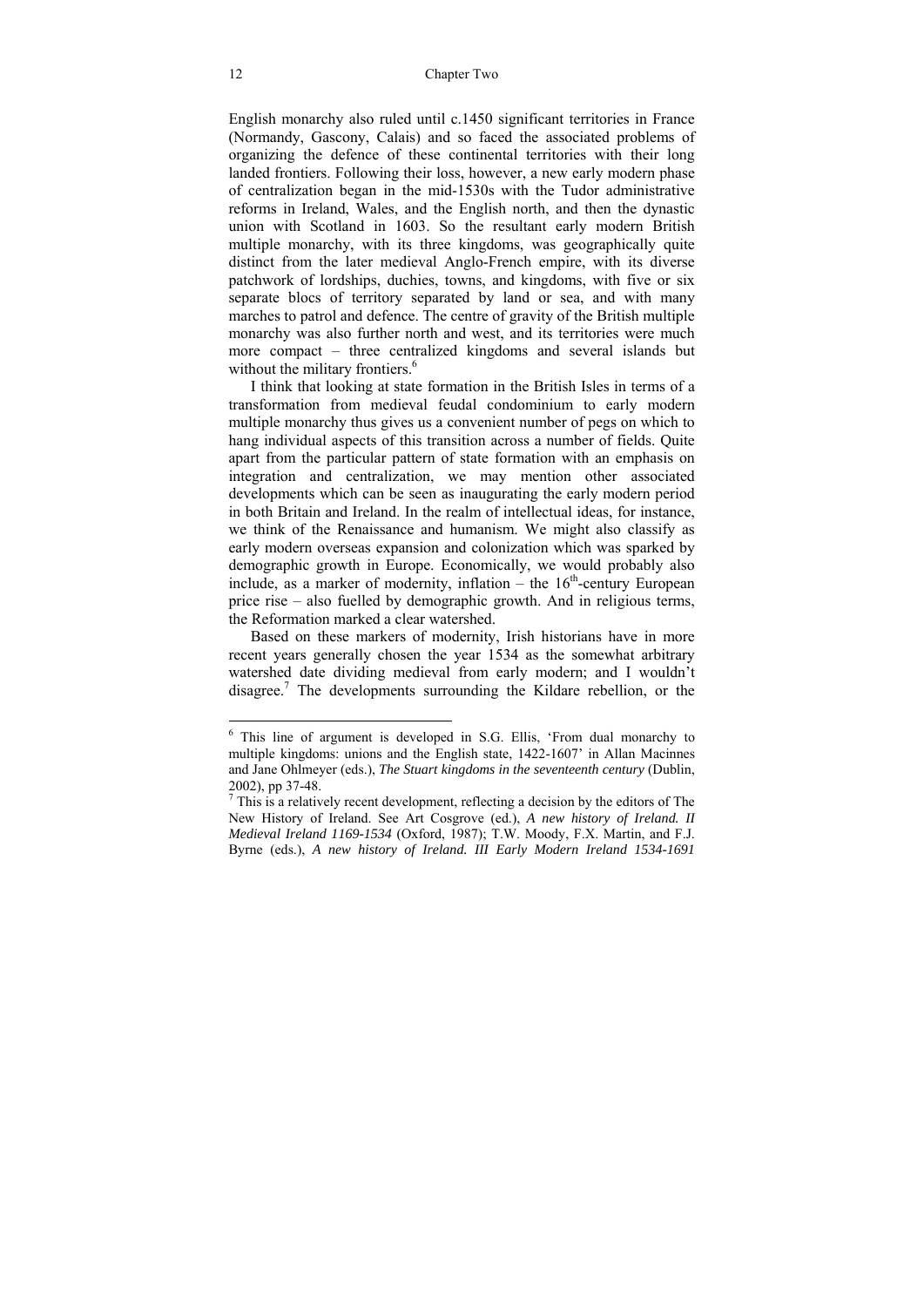English monarchy also ruled until c.1450 significant territories in France (Normandy, Gascony, Calais) and so faced the associated problems of organizing the defence of these continental territories with their long landed frontiers. Following their loss, however, a new early modern phase of centralization began in the mid-1530s with the Tudor administrative reforms in Ireland, Wales, and the English north, and then the dynastic union with Scotland in 1603. So the resultant early modern British multiple monarchy, with its three kingdoms, was geographically quite distinct from the later medieval Anglo-French empire, with its diverse patchwork of lordships, duchies, towns, and kingdoms, with five or six separate blocs of territory separated by land or sea, and with many marches to patrol and defence. The centre of gravity of the British multiple monarchy was also further north and west, and its territories were much more compact – three centralized kingdoms and several islands but without the military frontiers. $6$ 

I think that looking at state formation in the British Isles in terms of a transformation from medieval feudal condominium to early modern multiple monarchy thus gives us a convenient number of pegs on which to hang individual aspects of this transition across a number of fields. Quite apart from the particular pattern of state formation with an emphasis on integration and centralization, we may mention other associated developments which can be seen as inaugurating the early modern period in both Britain and Ireland. In the realm of intellectual ideas, for instance, we think of the Renaissance and humanism. We might also classify as early modern overseas expansion and colonization which was sparked by demographic growth in Europe. Economically, we would probably also include, as a marker of modernity, inflation – the  $16<sup>th</sup>$ -century European price rise – also fuelled by demographic growth. And in religious terms, the Reformation marked a clear watershed.

Based on these markers of modernity, Irish historians have in more recent years generally chosen the year 1534 as the somewhat arbitrary watershed date dividing medieval from early modern; and I wouldn't disagree.7 The developments surrounding the Kildare rebellion, or the

<sup>&</sup>lt;sup>6</sup> This line of argument is developed in S.G. Ellis, 'From dual monarchy to multiple kingdoms: unions and the English state, 1422-1607' in Allan Macinnes and Jane Ohlmeyer (eds.), *The Stuart kingdoms in the seventeenth century* (Dublin, 2002), pp 37-48.

 $<sup>7</sup>$  This is a relatively recent development, reflecting a decision by the editors of The</sup> New History of Ireland. See Art Cosgrove (ed.), *A new history of Ireland. II Medieval Ireland 1169-1534* (Oxford, 1987); T.W. Moody, F.X. Martin, and F.J. Byrne (eds.), *A new history of Ireland. III Early Modern Ireland 1534-1691*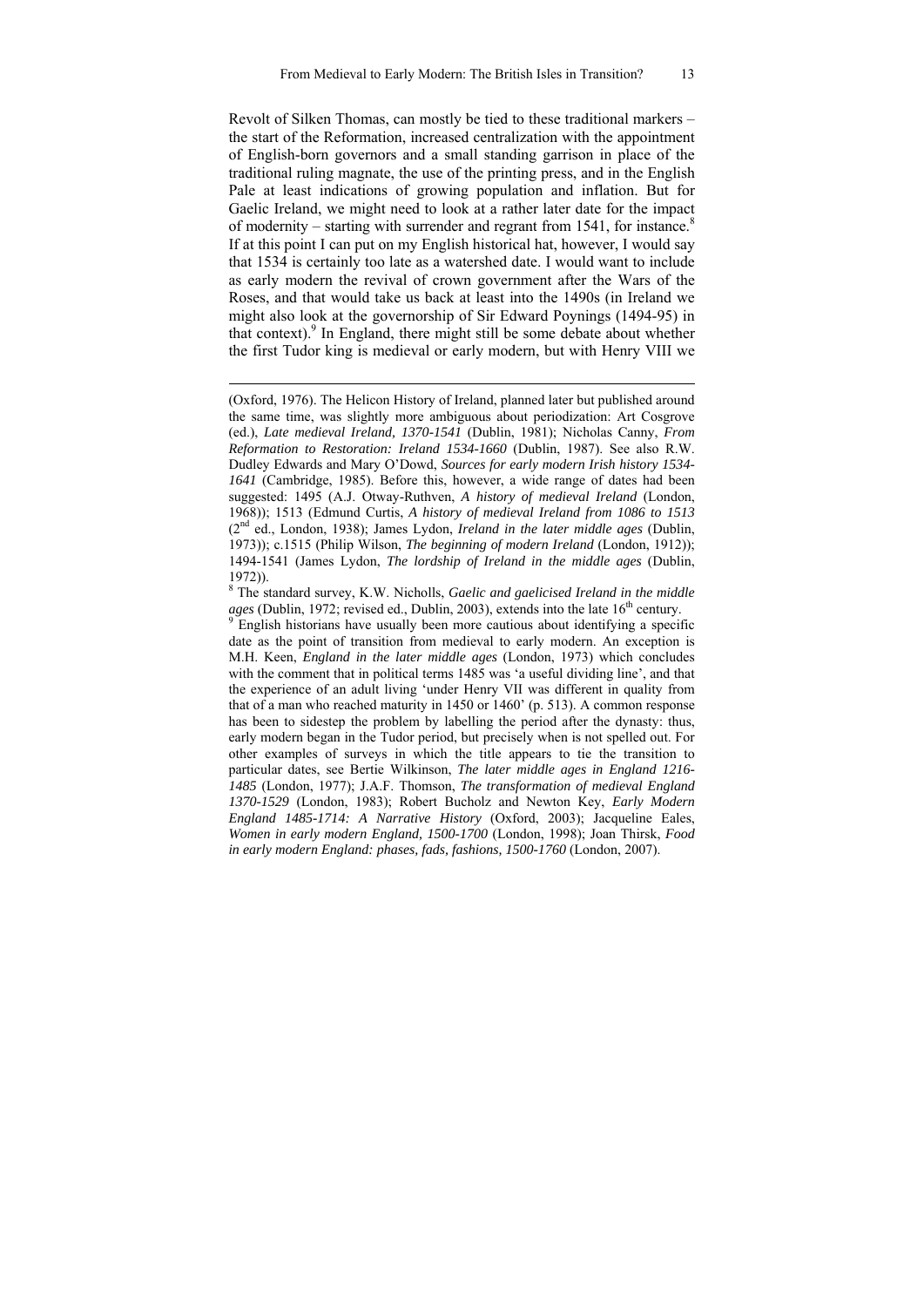Revolt of Silken Thomas, can mostly be tied to these traditional markers – the start of the Reformation, increased centralization with the appointment of English-born governors and a small standing garrison in place of the traditional ruling magnate, the use of the printing press, and in the English Pale at least indications of growing population and inflation. But for Gaelic Ireland, we might need to look at a rather later date for the impact of modernity – starting with surrender and regrant from 1541, for instance.<sup>8</sup> If at this point I can put on my English historical hat, however, I would say that 1534 is certainly too late as a watershed date. I would want to include as early modern the revival of crown government after the Wars of the Roses, and that would take us back at least into the 1490s (in Ireland we might also look at the governorship of Sir Edward Poynings (1494-95) in that context). $9$  In England, there might still be some debate about whether the first Tudor king is medieval or early modern, but with Henry VIII we

<sup>(</sup>Oxford, 1976). The Helicon History of Ireland, planned later but published around the same time, was slightly more ambiguous about periodization: Art Cosgrove (ed.), *Late medieval Ireland, 1370-1541* (Dublin, 1981); Nicholas Canny, *From Reformation to Restoration: Ireland 1534-1660* (Dublin, 1987). See also R.W. Dudley Edwards and Mary O'Dowd, *Sources for early modern Irish history 1534- 1641* (Cambridge, 1985). Before this, however, a wide range of dates had been suggested: 1495 (A.J. Otway-Ruthven, *A history of medieval Ireland* (London, 1968)); 1513 (Edmund Curtis, *A history of medieval Ireland from 1086 to 1513* (2nd ed., London, 1938); James Lydon, *Ireland in the later middle ages* (Dublin, 1973)); c.1515 (Philip Wilson, *The beginning of modern Ireland* (London, 1912)); 1494-1541 (James Lydon, *The lordship of Ireland in the middle ages* (Dublin, 1972)).

<sup>8</sup> The standard survey, K.W. Nicholls, *Gaelic and gaelicised Ireland in the middle*   $ages$  (Dublin, 1972; revised ed., Dublin, 2003), extends into the late  $16<sup>th</sup>$  century.

<sup>&</sup>lt;sup>9</sup> English historians have usually been more cautious about identifying a specific date as the point of transition from medieval to early modern. An exception is M.H. Keen, *England in the later middle ages* (London, 1973) which concludes with the comment that in political terms 1485 was 'a useful dividing line', and that the experience of an adult living 'under Henry VII was different in quality from that of a man who reached maturity in 1450 or 1460' (p. 513). A common response has been to sidestep the problem by labelling the period after the dynasty: thus, early modern began in the Tudor period, but precisely when is not spelled out. For other examples of surveys in which the title appears to tie the transition to particular dates, see Bertie Wilkinson, *The later middle ages in England 1216- 1485* (London, 1977); J.A.F. Thomson, *The transformation of medieval England 1370-1529* (London, 1983); Robert Bucholz and Newton Key, *Early Modern England 1485-1714: A Narrative History* (Oxford, 2003); Jacqueline Eales, *Women in early modern England, 1500-1700* (London, 1998); Joan Thirsk, *Food in early modern England: phases, fads, fashions, 1500-1760* (London, 2007).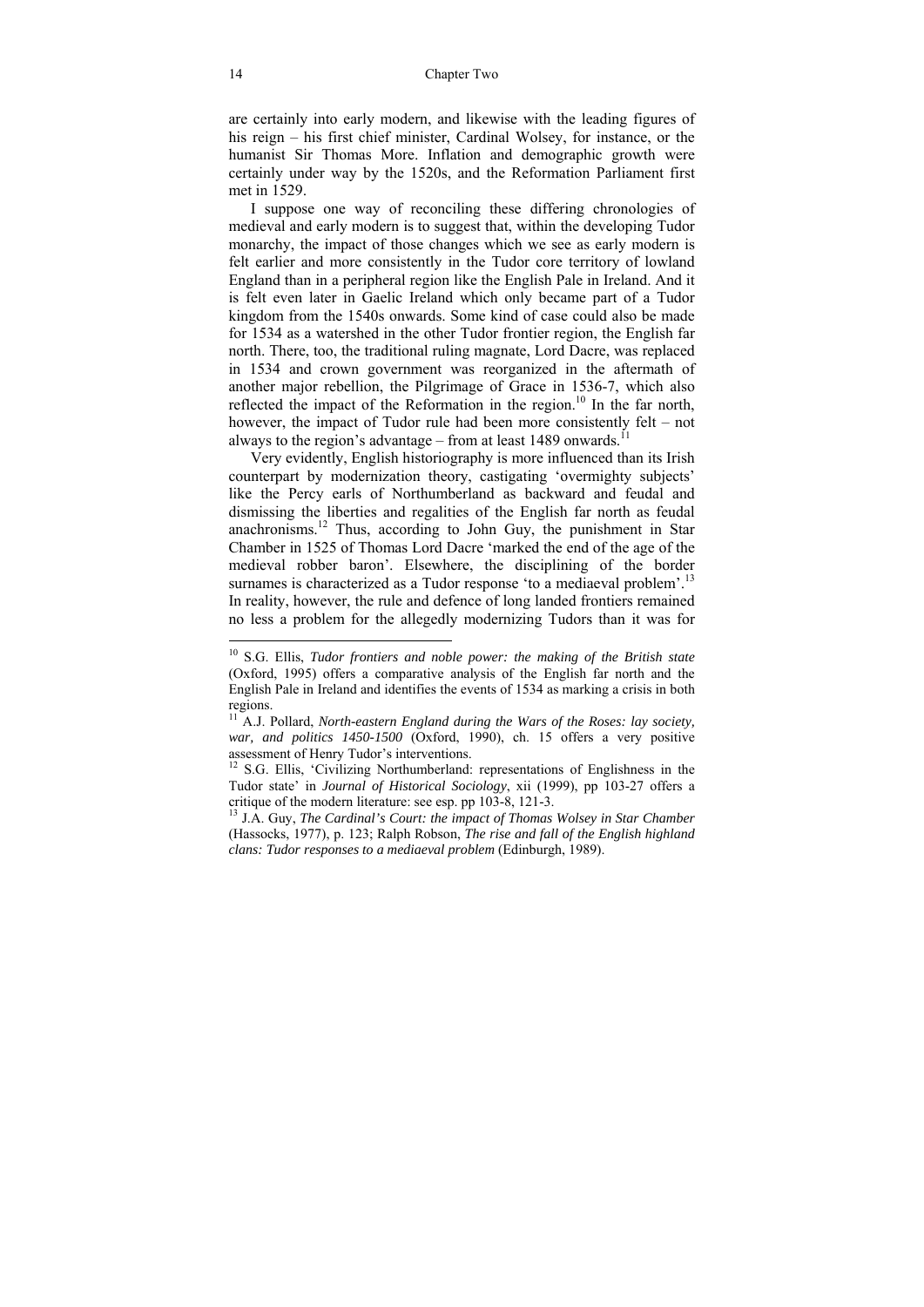are certainly into early modern, and likewise with the leading figures of his reign – his first chief minister, Cardinal Wolsey, for instance, or the humanist Sir Thomas More. Inflation and demographic growth were certainly under way by the 1520s, and the Reformation Parliament first met in 1529.

I suppose one way of reconciling these differing chronologies of medieval and early modern is to suggest that, within the developing Tudor monarchy, the impact of those changes which we see as early modern is felt earlier and more consistently in the Tudor core territory of lowland England than in a peripheral region like the English Pale in Ireland. And it is felt even later in Gaelic Ireland which only became part of a Tudor kingdom from the 1540s onwards. Some kind of case could also be made for 1534 as a watershed in the other Tudor frontier region, the English far north. There, too, the traditional ruling magnate, Lord Dacre, was replaced in 1534 and crown government was reorganized in the aftermath of another major rebellion, the Pilgrimage of Grace in 1536-7, which also reflected the impact of the Reformation in the region.<sup>10</sup> In the far north, however, the impact of Tudor rule had been more consistently felt – not always to the region's advantage – from at least 1489 onwards.<sup>11</sup>

Very evidently, English historiography is more influenced than its Irish counterpart by modernization theory, castigating 'overmighty subjects' like the Percy earls of Northumberland as backward and feudal and dismissing the liberties and regalities of the English far north as feudal anachronisms.<sup>12</sup> Thus, according to John Guy, the punishment in Star Chamber in 1525 of Thomas Lord Dacre 'marked the end of the age of the medieval robber baron'. Elsewhere, the disciplining of the border surnames is characterized as a Tudor response 'to a mediaeval problem'.<sup>13</sup> In reality, however, the rule and defence of long landed frontiers remained no less a problem for the allegedly modernizing Tudors than it was for

<sup>10</sup> S.G. Ellis, *Tudor frontiers and noble power: the making of the British state* (Oxford, 1995) offers a comparative analysis of the English far north and the English Pale in Ireland and identifies the events of 1534 as marking a crisis in both regions.

<sup>&</sup>lt;sup>11</sup> A.J. Pollard, *North-eastern England during the Wars of the Roses: lay society, war, and politics 1450-1500* (Oxford, 1990), ch. 15 offers a very positive assessment of Henry Tudor's interventions.

<sup>&</sup>lt;sup>12</sup> S.G. Ellis, 'Civilizing Northumberland: representations of Englishness in the Tudor state' in *Journal of Historical Sociology*, xii (1999), pp 103-27 offers a critique of the modern literature: see esp. pp 103-8, 121-3.

<sup>13</sup> J.A. Guy, *The Cardinal's Court: the impact of Thomas Wolsey in Star Chamber* (Hassocks, 1977), p. 123; Ralph Robson, *The rise and fall of the English highland clans: Tudor responses to a mediaeval problem* (Edinburgh, 1989).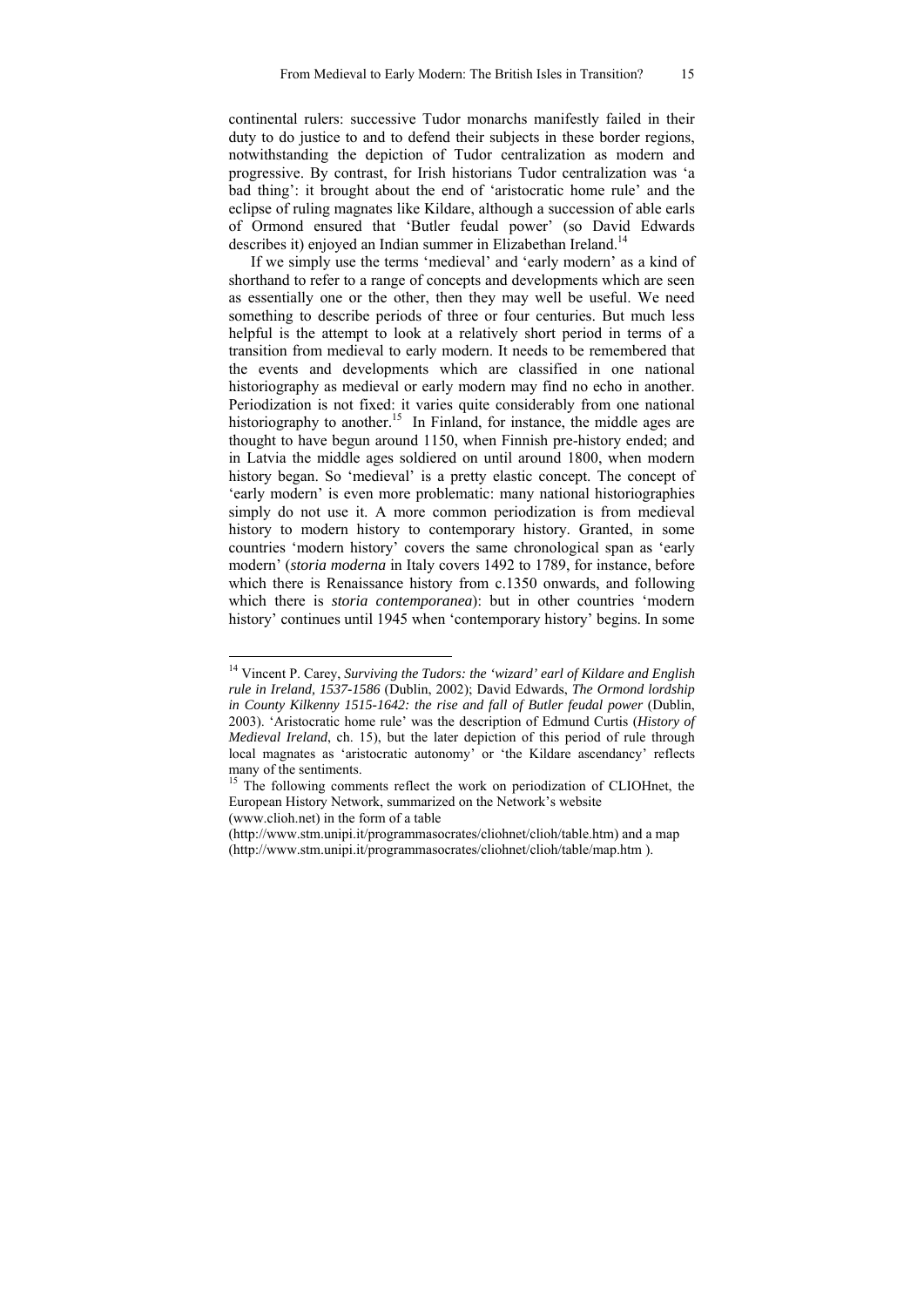continental rulers: successive Tudor monarchs manifestly failed in their duty to do justice to and to defend their subjects in these border regions, notwithstanding the depiction of Tudor centralization as modern and progressive. By contrast, for Irish historians Tudor centralization was 'a bad thing': it brought about the end of 'aristocratic home rule' and the eclipse of ruling magnates like Kildare, although a succession of able earls of Ormond ensured that 'Butler feudal power' (so David Edwards describes it) enjoyed an Indian summer in Elizabethan Ireland.<sup>14</sup>

If we simply use the terms 'medieval' and 'early modern' as a kind of shorthand to refer to a range of concepts and developments which are seen as essentially one or the other, then they may well be useful. We need something to describe periods of three or four centuries. But much less helpful is the attempt to look at a relatively short period in terms of a transition from medieval to early modern. It needs to be remembered that the events and developments which are classified in one national historiography as medieval or early modern may find no echo in another. Periodization is not fixed: it varies quite considerably from one national historiography to another.<sup>15</sup> In Finland, for instance, the middle ages are thought to have begun around 1150, when Finnish pre-history ended; and in Latvia the middle ages soldiered on until around 1800, when modern history began. So 'medieval' is a pretty elastic concept. The concept of 'early modern' is even more problematic: many national historiographies simply do not use it. A more common periodization is from medieval history to modern history to contemporary history. Granted, in some countries 'modern history' covers the same chronological span as 'early modern' (*storia moderna* in Italy covers 1492 to 1789, for instance, before which there is Renaissance history from c.1350 onwards, and following which there is *storia contemporanea*): but in other countries 'modern history' continues until 1945 when 'contemporary history' begins. In some

<sup>14</sup> Vincent P. Carey, *Surviving the Tudors: the 'wizard' earl of Kildare and English rule in Ireland, 1537-1586* (Dublin, 2002); David Edwards, *The Ormond lordship in County Kilkenny 1515-1642: the rise and fall of Butler feudal power* (Dublin, 2003). 'Aristocratic home rule' was the description of Edmund Curtis (*History of Medieval Ireland*, ch. 15), but the later depiction of this period of rule through local magnates as 'aristocratic autonomy' or 'the Kildare ascendancy' reflects many of the sentiments.

<sup>&</sup>lt;sup>15</sup> The following comments reflect the work on periodization of CLIOHnet, the European History Network, summarized on the Network's website (www.clioh.net) in the form of a table

<sup>(</sup>http://www.stm.unipi.it/programmasocrates/cliohnet/clioh/table.htm) and a map (http://www.stm.unipi.it/programmasocrates/cliohnet/clioh/table/map.htm ).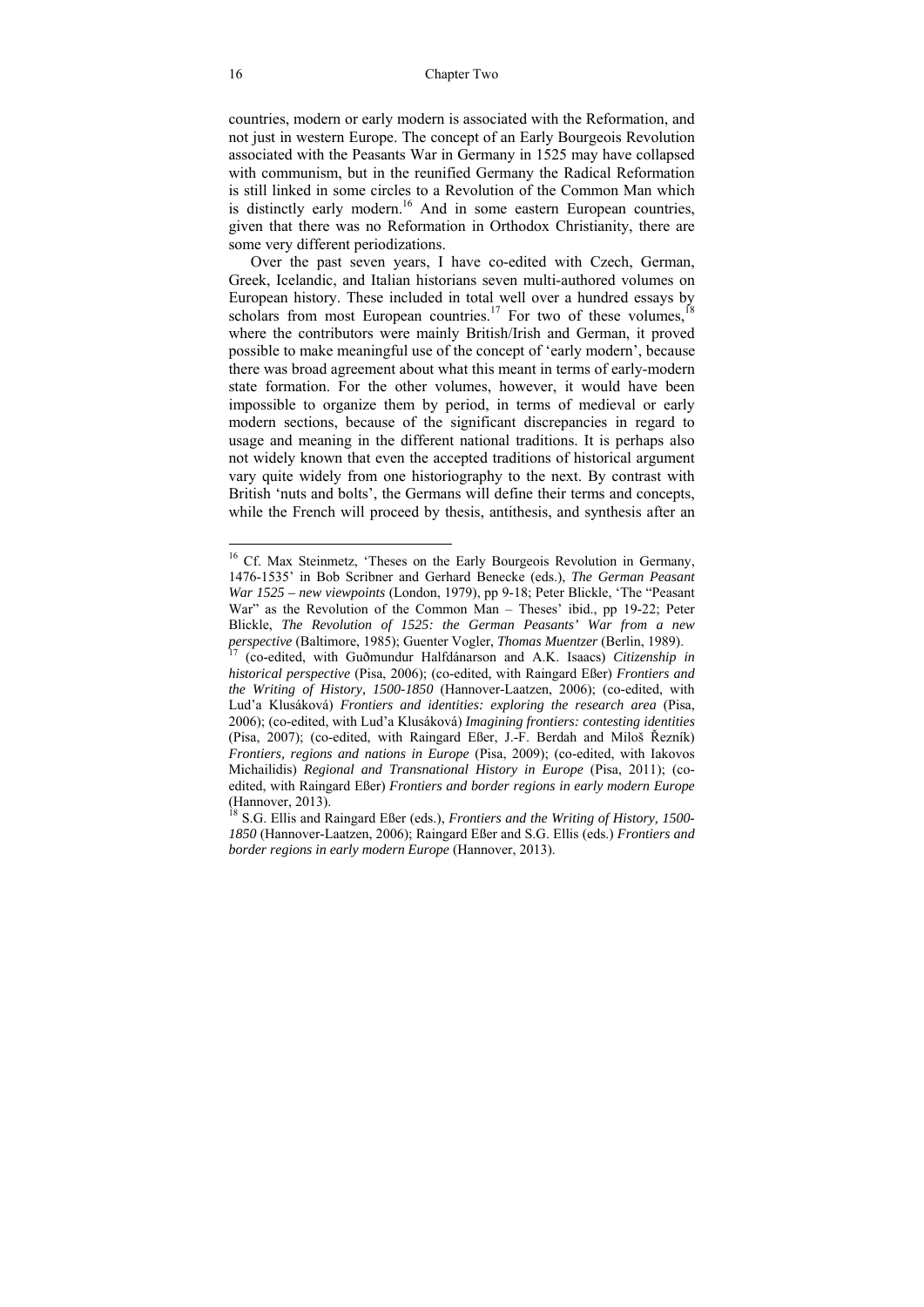countries, modern or early modern is associated with the Reformation, and not just in western Europe. The concept of an Early Bourgeois Revolution associated with the Peasants War in Germany in 1525 may have collapsed with communism, but in the reunified Germany the Radical Reformation is still linked in some circles to a Revolution of the Common Man which is distinctly early modern.<sup>16</sup> And in some eastern European countries, given that there was no Reformation in Orthodox Christianity, there are some very different periodizations.

Over the past seven years, I have co-edited with Czech, German, Greek, Icelandic, and Italian historians seven multi-authored volumes on European history. These included in total well over a hundred essays by scholars from most European countries.<sup>17</sup> For two of these volumes,<sup>18</sup> where the contributors were mainly British/Irish and German, it proved possible to make meaningful use of the concept of 'early modern', because there was broad agreement about what this meant in terms of early-modern state formation. For the other volumes, however, it would have been impossible to organize them by period, in terms of medieval or early modern sections, because of the significant discrepancies in regard to usage and meaning in the different national traditions. It is perhaps also not widely known that even the accepted traditions of historical argument vary quite widely from one historiography to the next. By contrast with British 'nuts and bolts', the Germans will define their terms and concepts, while the French will proceed by thesis, antithesis, and synthesis after an

<sup>&</sup>lt;sup>16</sup> Cf. Max Steinmetz, 'Theses on the Early Bourgeois Revolution in Germany, 1476-1535' in Bob Scribner and Gerhard Benecke (eds.), *The German Peasant War 1525 – new viewpoints* (London, 1979), pp 9-18; Peter Blickle, 'The "Peasant War" as the Revolution of the Common Man – Theses' ibid., pp 19-22; Peter Blickle, *The Revolution of 1525: the German Peasants' War from a new* 

<sup>&</sup>lt;sup>17</sup> (co-edited, with Guðmundur Halfdánarson and A.K. Isaacs) *Citizenship in historical perspective* (Pisa, 2006); (co-edited, with Raingard Eßer) *Frontiers and the Writing of History, 1500-1850* (Hannover-Laatzen, 2006); (co-edited, with Lud'a Klusáková) *Frontiers and identities: exploring the research area* (Pisa, 2006); (co-edited, with Lud'a Klusáková) *Imagining frontiers: contesting identities* (Pisa, 2007); (co-edited, with Raingard Eßer, J.-F. Berdah and Miloš Řezník) *Frontiers, regions and nations in Europe* (Pisa, 2009); (co-edited, with Iakovos Michailidis) *Regional and Transnational History in Europe* (Pisa, 2011); (coedited, with Raingard Eßer) *Frontiers and border regions in early modern Europe* (Hannover, 2013).

<sup>18</sup> S.G. Ellis and Raingard Eßer (eds.), *Frontiers and the Writing of History, 1500- 1850* (Hannover-Laatzen, 2006); Raingard Eßer and S.G. Ellis (eds.) *Frontiers and border regions in early modern Europe* (Hannover, 2013).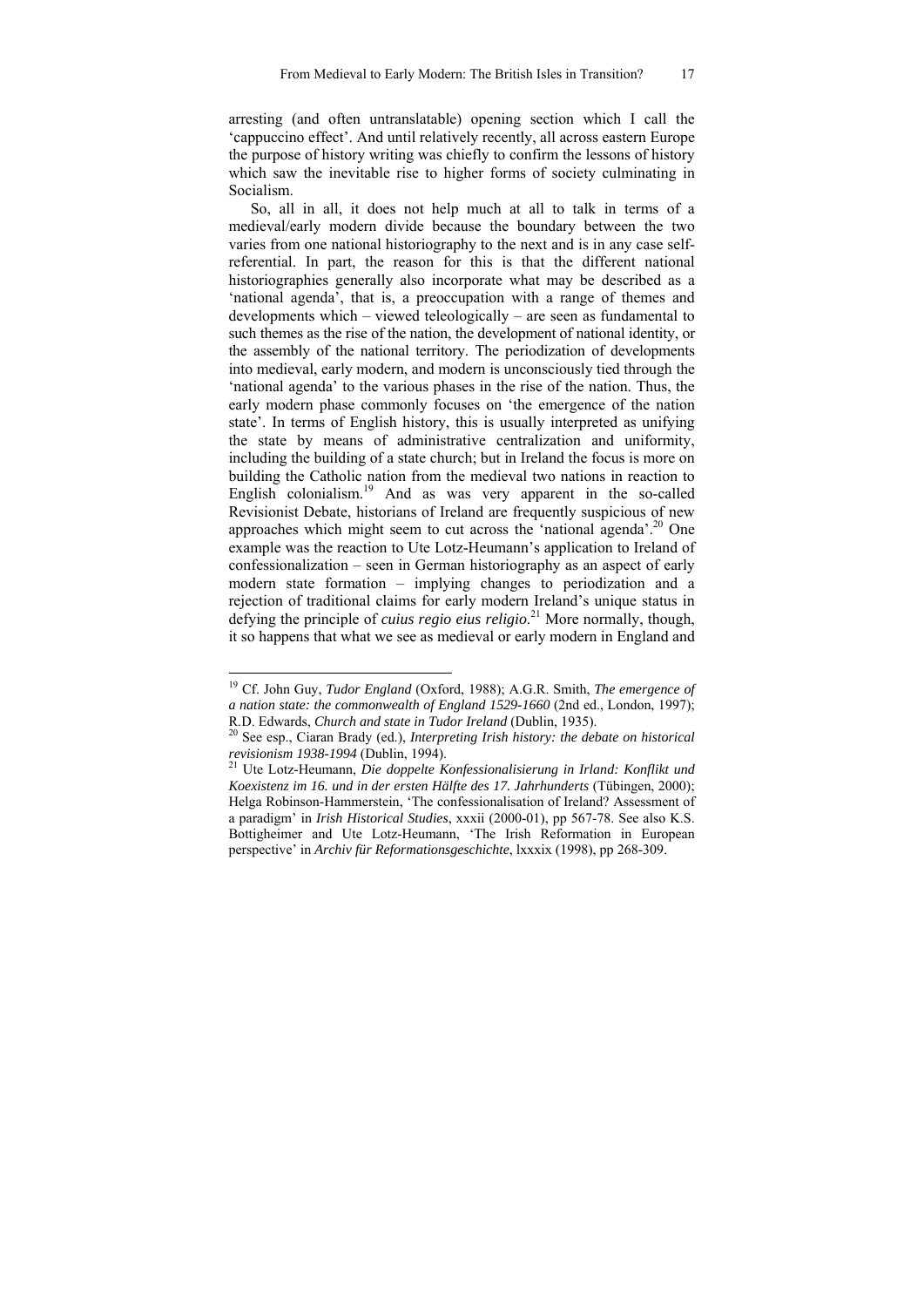arresting (and often untranslatable) opening section which I call the 'cappuccino effect'. And until relatively recently, all across eastern Europe the purpose of history writing was chiefly to confirm the lessons of history which saw the inevitable rise to higher forms of society culminating in Socialism.

So, all in all, it does not help much at all to talk in terms of a medieval/early modern divide because the boundary between the two varies from one national historiography to the next and is in any case selfreferential. In part, the reason for this is that the different national historiographies generally also incorporate what may be described as a 'national agenda', that is, a preoccupation with a range of themes and developments which – viewed teleologically – are seen as fundamental to such themes as the rise of the nation, the development of national identity, or the assembly of the national territory. The periodization of developments into medieval, early modern, and modern is unconsciously tied through the 'national agenda' to the various phases in the rise of the nation. Thus, the early modern phase commonly focuses on 'the emergence of the nation state'. In terms of English history, this is usually interpreted as unifying the state by means of administrative centralization and uniformity, including the building of a state church; but in Ireland the focus is more on building the Catholic nation from the medieval two nations in reaction to English colonialism.<sup>19</sup> And as was very apparent in the so-called Revisionist Debate, historians of Ireland are frequently suspicious of new approaches which might seem to cut across the 'national agenda'.20 One example was the reaction to Ute Lotz-Heumann's application to Ireland of confessionalization – seen in German historiography as an aspect of early modern state formation – implying changes to periodization and a rejection of traditional claims for early modern Ireland's unique status in defying the principle of *cuius regio eius religio*. 21 More normally, though, it so happens that what we see as medieval or early modern in England and

<sup>19</sup> Cf. John Guy, *Tudor England* (Oxford, 1988); A.G.R. Smith, *The emergence of a nation state: the commonwealth of England 1529-1660* (2nd ed., London, 1997);

<sup>&</sup>lt;sup>20</sup> See esp., Ciaran Brady (ed.), *Interpreting Irish history: the debate on historical revisionism 1938-1994* (Dublin, 1994). 21 Ute Lotz-Heumann, *Die doppelte Konfessionalisierung in Irland: Konflikt und* 

*Koexistenz im 16. und in der ersten Hälfte des 17. Jahrhunderts* (Tübingen, 2000); Helga Robinson-Hammerstein, 'The confessionalisation of Ireland? Assessment of a paradigm' in *Irish Historical Studies*, xxxii (2000-01), pp 567-78. See also K.S. Bottigheimer and Ute Lotz-Heumann, 'The Irish Reformation in European perspective' in *Archiv für Reformationsgeschichte*, lxxxix (1998), pp 268-309.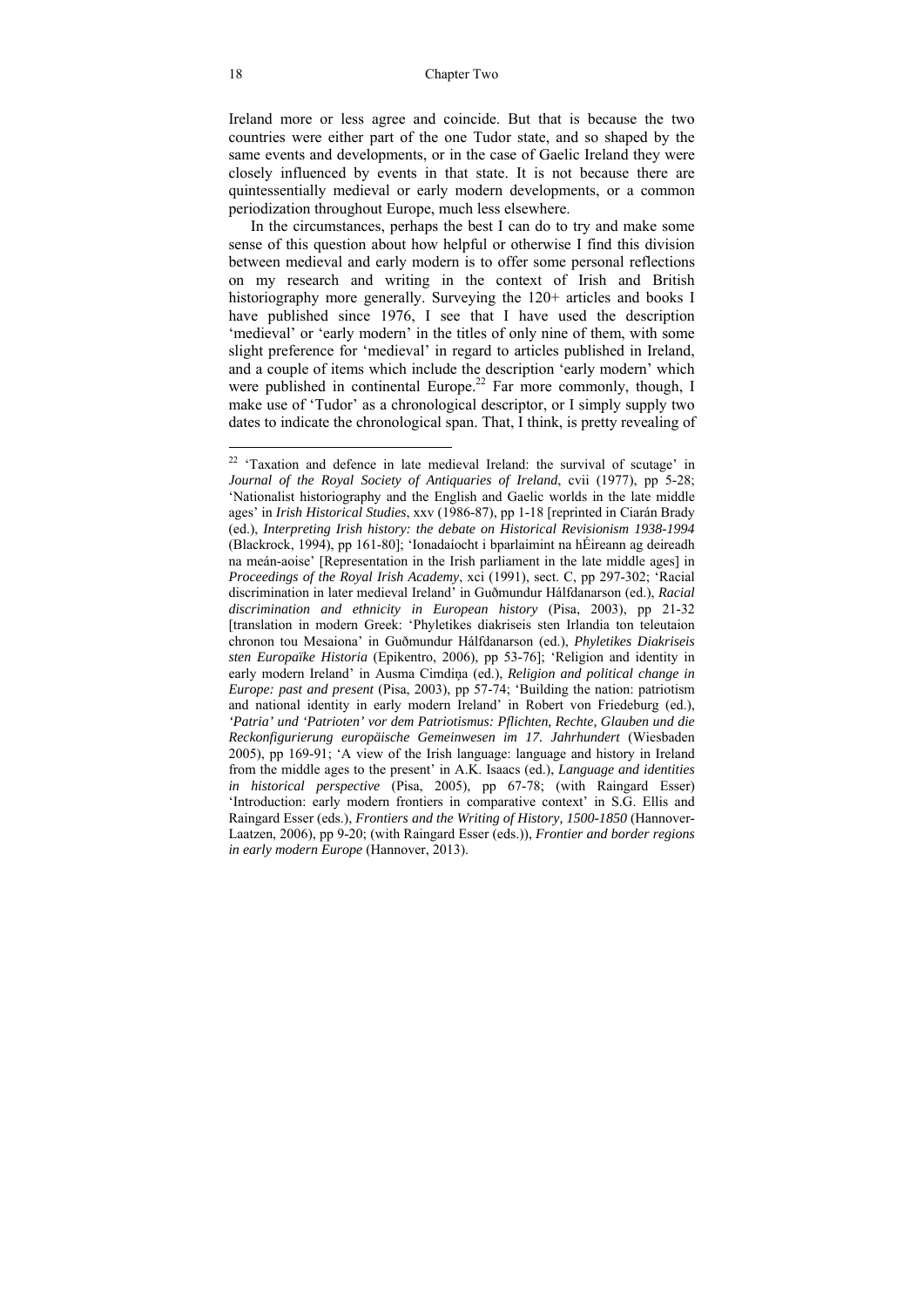Ireland more or less agree and coincide. But that is because the two countries were either part of the one Tudor state, and so shaped by the same events and developments, or in the case of Gaelic Ireland they were closely influenced by events in that state. It is not because there are quintessentially medieval or early modern developments, or a common periodization throughout Europe, much less elsewhere.

In the circumstances, perhaps the best I can do to try and make some sense of this question about how helpful or otherwise I find this division between medieval and early modern is to offer some personal reflections on my research and writing in the context of Irish and British historiography more generally. Surveying the 120+ articles and books I have published since 1976. I see that I have used the description 'medieval' or 'early modern' in the titles of only nine of them, with some slight preference for 'medieval' in regard to articles published in Ireland, and a couple of items which include the description 'early modern' which were published in continental Europe.<sup>22</sup> Far more commonly, though, I make use of 'Tudor' as a chronological descriptor, or I simply supply two dates to indicate the chronological span. That, I think, is pretty revealing of

 $22$  'Taxation and defence in late medieval Ireland: the survival of scutage' in *Journal of the Royal Society of Antiquaries of Ireland*, cvii (1977), pp 5-28; 'Nationalist historiography and the English and Gaelic worlds in the late middle ages' in *Irish Historical Studies*, xxv (1986-87), pp 1-18 [reprinted in Ciarán Brady (ed.), *Interpreting Irish history: the debate on Historical Revisionism 1938-1994* (Blackrock, 1994), pp 161-80]; 'Ionadaíocht i bparlaimint na hÉireann ag deireadh na meán-aoise' [Representation in the Irish parliament in the late middle ages] in *Proceedings of the Royal Irish Academy*, xci (1991), sect. C, pp 297-302; 'Racial discrimination in later medieval Ireland' in Guðmundur Hálfdanarson (ed.), *Racial discrimination and ethnicity in European history* (Pisa, 2003), pp 21-32 [translation in modern Greek: 'Phyletikes diakriseis sten Irlandia ton teleutaion chronon tou Mesaiona' in Guðmundur Hálfdanarson (ed.), *Phyletikes Diakriseis sten Europaïke Historia* (Epikentro, 2006), pp 53-76]; 'Religion and identity in early modern Ireland' in Ausma Cimdiņa (ed.), *Religion and political change in Europe: past and present* (Pisa, 2003), pp 57-74; 'Building the nation: patriotism and national identity in early modern Ireland' in Robert von Friedeburg (ed.), *'Patria' und 'Patrioten' vor dem Patriotismus: Pflichten, Rechte, Glauben und die Reckonfigurierung europäische Gemeinwesen im 17. Jahrhundert* (Wiesbaden 2005), pp 169-91; 'A view of the Irish language: language and history in Ireland from the middle ages to the present' in A.K. Isaacs (ed.), *Language and identities in historical perspective* (Pisa, 2005), pp 67-78; (with Raingard Esser) 'Introduction: early modern frontiers in comparative context' in S.G. Ellis and Raingard Esser (eds.), *Frontiers and the Writing of History, 1500-1850* (Hannover-Laatzen, 2006), pp 9-20; (with Raingard Esser (eds.)), *Frontier and border regions in early modern Europe* (Hannover, 2013).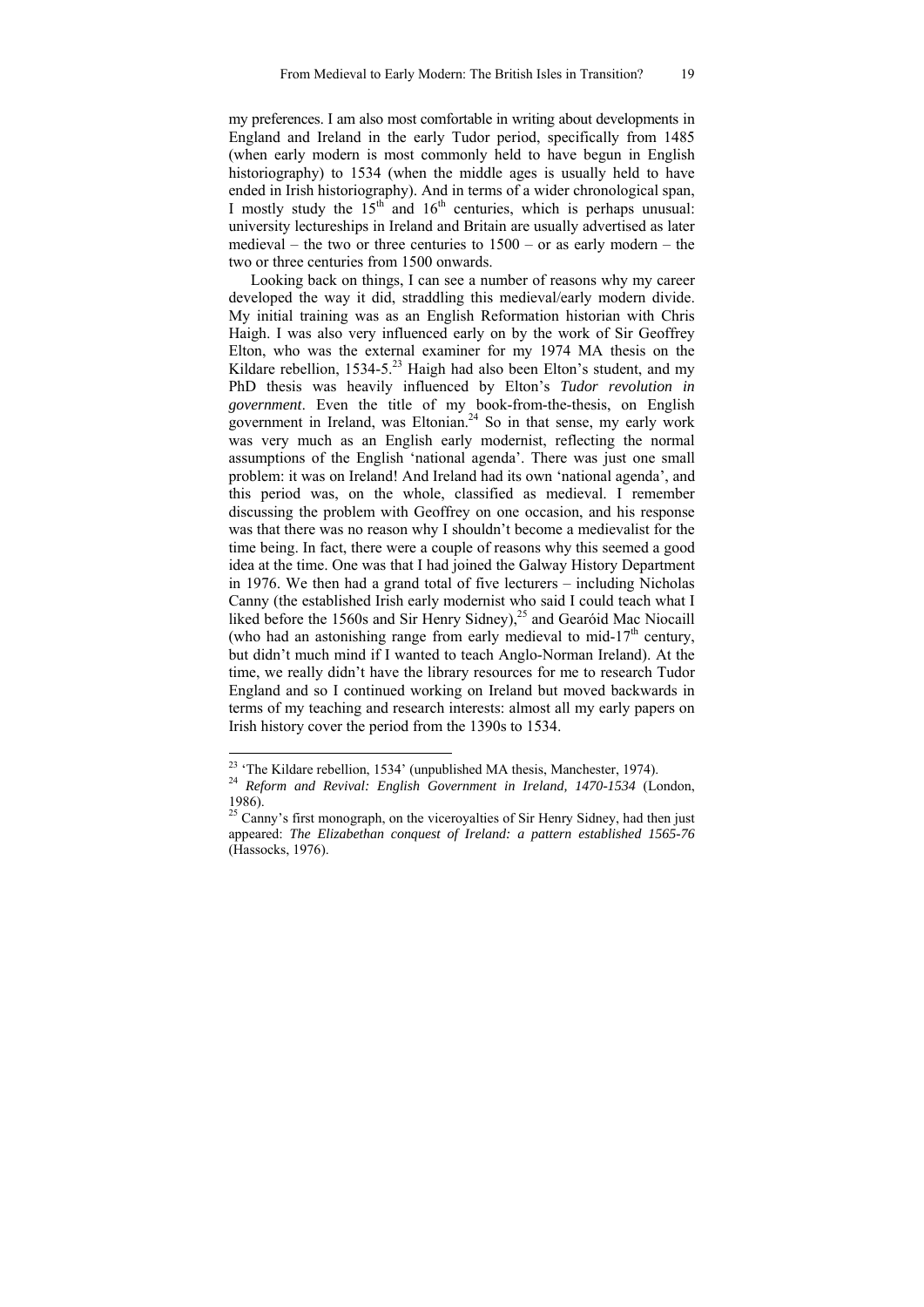my preferences. I am also most comfortable in writing about developments in England and Ireland in the early Tudor period, specifically from 1485 (when early modern is most commonly held to have begun in English historiography) to 1534 (when the middle ages is usually held to have ended in Irish historiography). And in terms of a wider chronological span, I mostly study the  $15<sup>th</sup>$  and  $16<sup>th</sup>$  centuries, which is perhaps unusual: university lectureships in Ireland and Britain are usually advertised as later medieval – the two or three centuries to 1500 – or as early modern – the two or three centuries from 1500 onwards.

Looking back on things, I can see a number of reasons why my career developed the way it did, straddling this medieval/early modern divide. My initial training was as an English Reformation historian with Chris Haigh. I was also very influenced early on by the work of Sir Geoffrey Elton, who was the external examiner for my 1974 MA thesis on the Kildare rebellion, 1534-5.<sup>23</sup> Haigh had also been Elton's student, and my PhD thesis was heavily influenced by Elton's *Tudor revolution in government*. Even the title of my book-from-the-thesis, on English government in Ireland, was Eltonian.<sup>24</sup> So in that sense, my early work was very much as an English early modernist, reflecting the normal assumptions of the English 'national agenda'. There was just one small problem: it was on Ireland! And Ireland had its own 'national agenda', and this period was, on the whole, classified as medieval. I remember discussing the problem with Geoffrey on one occasion, and his response was that there was no reason why I shouldn't become a medievalist for the time being. In fact, there were a couple of reasons why this seemed a good idea at the time. One was that I had joined the Galway History Department in 1976. We then had a grand total of five lecturers – including Nicholas Canny (the established Irish early modernist who said I could teach what I liked before the 1560s and Sir Henry Sidney),<sup>25</sup> and Gearóid Mac Niocaill (who had an astonishing range from early medieval to mid-17<sup>th</sup> century, but didn't much mind if I wanted to teach Anglo-Norman Ireland). At the time, we really didn't have the library resources for me to research Tudor England and so I continued working on Ireland but moved backwards in terms of my teaching and research interests: almost all my early papers on Irish history cover the period from the 1390s to 1534.

<sup>&</sup>lt;sup>23</sup> 'The Kildare rebellion, 1534' (unpublished MA thesis, Manchester, 1974).

<sup>&</sup>lt;sup>24</sup> Reform and Revival: English Government in Ireland, 1470-1534 (London, 1986).

 $25$  Canny's first monograph, on the viceroyalties of Sir Henry Sidney, had then just appeared: *The Elizabethan conquest of Ireland: a pattern established 1565-76* (Hassocks, 1976).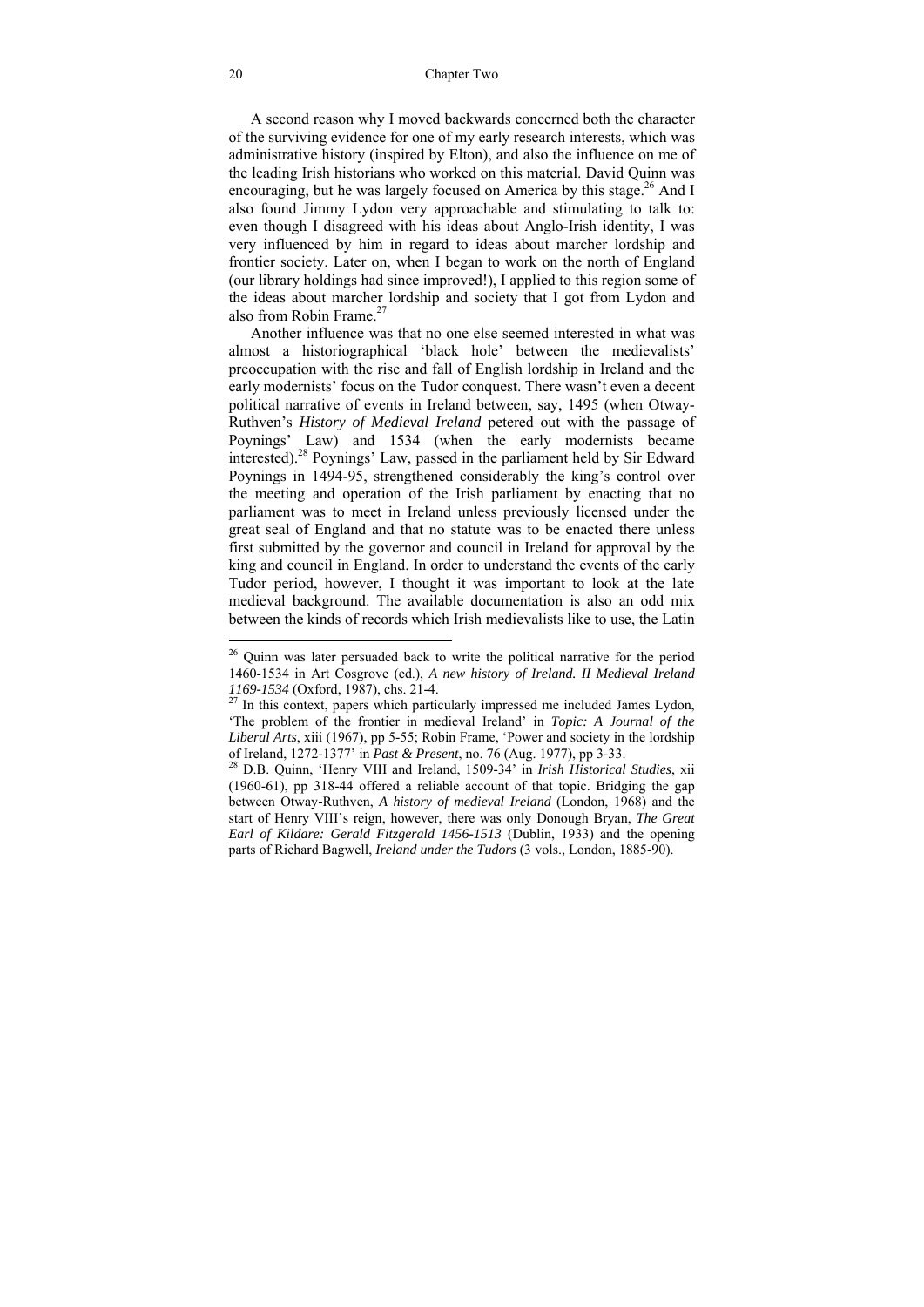A second reason why I moved backwards concerned both the character of the surviving evidence for one of my early research interests, which was administrative history (inspired by Elton), and also the influence on me of the leading Irish historians who worked on this material. David Quinn was encouraging, but he was largely focused on America by this stage.<sup>26</sup> And I also found Jimmy Lydon very approachable and stimulating to talk to: even though I disagreed with his ideas about Anglo-Irish identity, I was very influenced by him in regard to ideas about marcher lordship and frontier society. Later on, when I began to work on the north of England (our library holdings had since improved!), I applied to this region some of the ideas about marcher lordship and society that I got from Lydon and also from Robin Frame<sup>27</sup>

Another influence was that no one else seemed interested in what was almost a historiographical 'black hole' between the medievalists' preoccupation with the rise and fall of English lordship in Ireland and the early modernists' focus on the Tudor conquest. There wasn't even a decent political narrative of events in Ireland between, say, 1495 (when Otway-Ruthven's *History of Medieval Ireland* petered out with the passage of Poynings' Law) and 1534 (when the early modernists became interested).28 Poynings' Law, passed in the parliament held by Sir Edward Poynings in 1494-95, strengthened considerably the king's control over the meeting and operation of the Irish parliament by enacting that no parliament was to meet in Ireland unless previously licensed under the great seal of England and that no statute was to be enacted there unless first submitted by the governor and council in Ireland for approval by the king and council in England. In order to understand the events of the early Tudor period, however, I thought it was important to look at the late medieval background. The available documentation is also an odd mix between the kinds of records which Irish medievalists like to use, the Latin

<sup>&</sup>lt;sup>26</sup> Quinn was later persuaded back to write the political narrative for the period 1460-1534 in Art Cosgrove (ed.), *A new history of Ireland. II Medieval Ireland* 

<sup>&</sup>lt;sup>27</sup> In this context, papers which particularly impressed me included James Lydon, 'The problem of the frontier in medieval Ireland' in *Topic: A Journal of the Liberal Arts*, xiii (1967), pp 5-55; Robin Frame, 'Power and society in the lordship of Ireland, 1272-1377' in *Past & Present*, no. 76 (Aug. 1977), pp 3-33. 28 D.B. Quinn, 'Henry VIII and Ireland, 1509-34' in *Irish Historical Studies*, xii

<sup>(1960-61),</sup> pp 318-44 offered a reliable account of that topic. Bridging the gap between Otway-Ruthven, *A history of medieval Ireland* (London, 1968) and the start of Henry VIII's reign, however, there was only Donough Bryan, *The Great Earl of Kildare: Gerald Fitzgerald 1456-1513* (Dublin, 1933) and the opening parts of Richard Bagwell, *Ireland under the Tudors* (3 vols., London, 1885-90).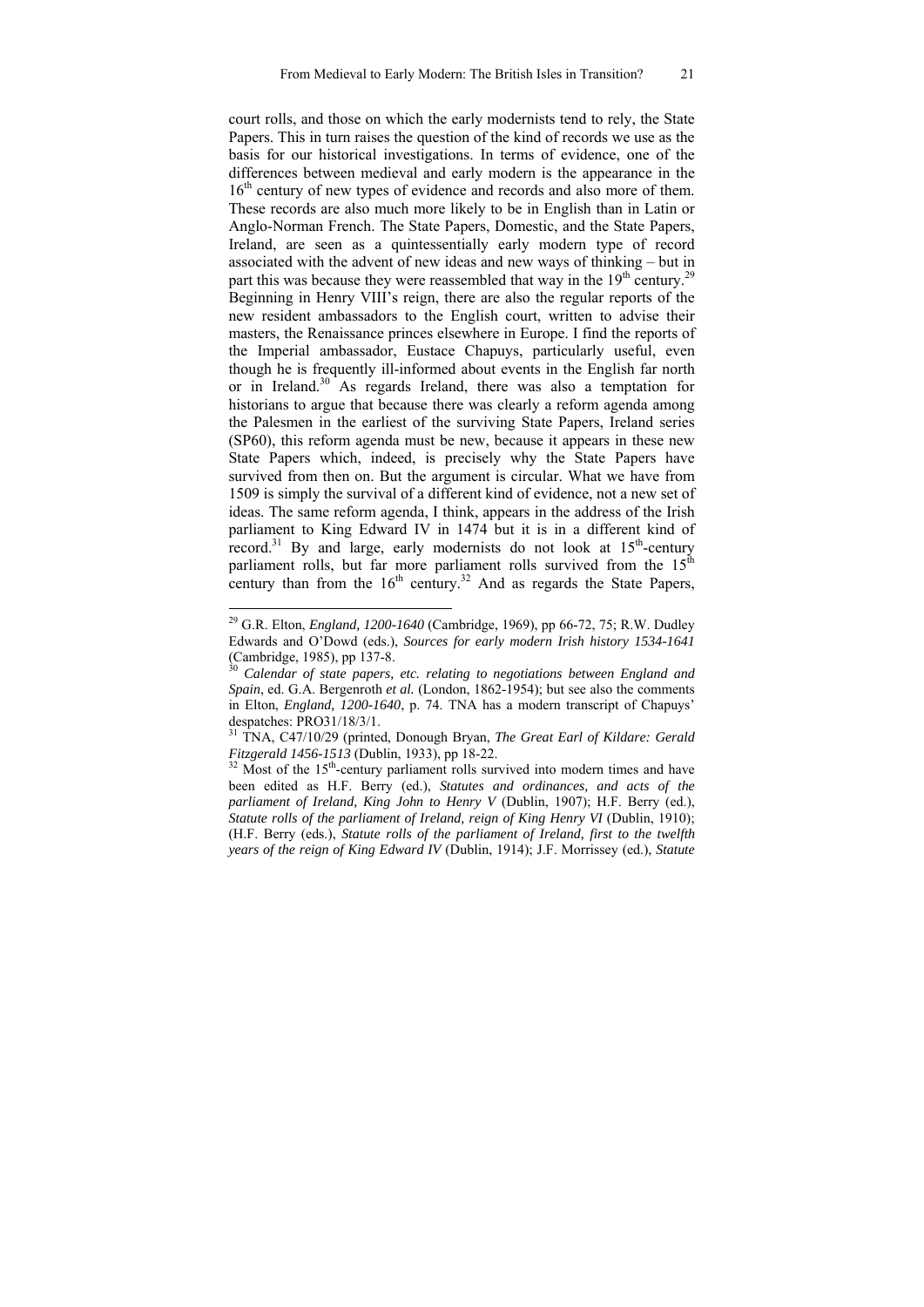court rolls, and those on which the early modernists tend to rely, the State Papers. This in turn raises the question of the kind of records we use as the basis for our historical investigations. In terms of evidence, one of the differences between medieval and early modern is the appearance in the 16<sup>th</sup> century of new types of evidence and records and also more of them. These records are also much more likely to be in English than in Latin or Anglo-Norman French. The State Papers, Domestic, and the State Papers, Ireland, are seen as a quintessentially early modern type of record associated with the advent of new ideas and new ways of thinking – but in part this was because they were reassembled that way in the  $19<sup>th</sup>$  century.<sup>29</sup> Beginning in Henry VIII's reign, there are also the regular reports of the new resident ambassadors to the English court, written to advise their masters, the Renaissance princes elsewhere in Europe. I find the reports of the Imperial ambassador, Eustace Chapuys, particularly useful, even though he is frequently ill-informed about events in the English far north or in Ireland.<sup>30</sup> As regards Ireland, there was also a temptation for historians to argue that because there was clearly a reform agenda among the Palesmen in the earliest of the surviving State Papers, Ireland series (SP60), this reform agenda must be new, because it appears in these new State Papers which, indeed, is precisely why the State Papers have survived from then on. But the argument is circular. What we have from 1509 is simply the survival of a different kind of evidence, not a new set of ideas. The same reform agenda, I think, appears in the address of the Irish parliament to King Edward IV in 1474 but it is in a different kind of record.<sup>31</sup> By and large, early modernists do not look at  $15<sup>th</sup>$ -century parliament rolls, but far more parliament rolls survived from the  $15<sup>th</sup>$ century than from the  $16<sup>th</sup>$  century.<sup>32</sup> And as regards the State Papers,

<sup>29</sup> G.R. Elton, *England, 1200-1640* (Cambridge, 1969), pp 66-72, 75; R.W. Dudley Edwards and O'Dowd (eds.), *Sources for early modern Irish history 1534-1641* (Cambridge, 1985), pp 137-8.

<sup>&</sup>lt;sup>30</sup> Calendar of state papers, etc. relating to negotiations between England and *Spain*, ed. G.A. Bergenroth *et al.* (London, 1862-1954); but see also the comments in Elton, *England, 1200-1640*, p. 74. TNA has a modern transcript of Chapuys' despatches: PRO31/18/3/1.

<sup>31</sup> TNA, C47/10/29 (printed, Donough Bryan, *The Great Earl of Kildare: Gerald Fitzgerald 1456-1513* (Dublin, 1933), pp 18-22.<br><sup>32</sup> Most of the 15<sup>th</sup>-century parliament rolls survived into modern times and have

been edited as H.F. Berry (ed.), *Statutes and ordinances, and acts of the parliament of Ireland, King John to Henry V* (Dublin, 1907); H.F. Berry (ed.), *Statute rolls of the parliament of Ireland, reign of King Henry VI* (Dublin, 1910); (H.F. Berry (eds.), *Statute rolls of the parliament of Ireland, first to the twelfth years of the reign of King Edward IV* (Dublin, 1914); J.F. Morrissey (ed.), *Statute*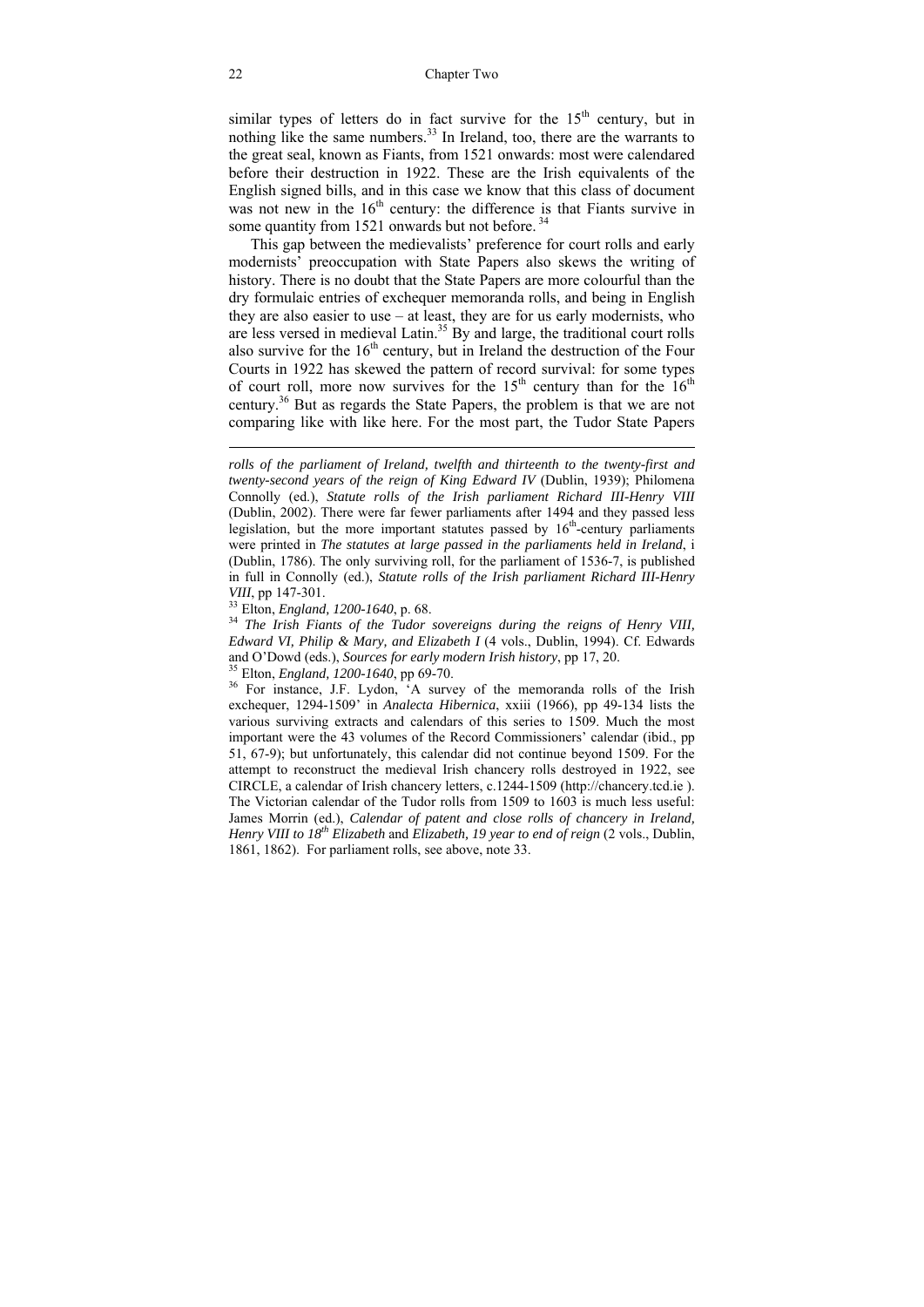#### 22 Chapter Two

similar types of letters do in fact survive for the  $15<sup>th</sup>$  century, but in nothing like the same numbers.<sup>33</sup> In Ireland, too, there are the warrants to the great seal, known as Fiants, from 1521 onwards: most were calendared before their destruction in 1922. These are the Irish equivalents of the English signed bills, and in this case we know that this class of document was not new in the 16<sup>th</sup> century: the difference is that Fiants survive in some quantity from 1521 onwards but not before.<sup>34</sup>

This gap between the medievalists' preference for court rolls and early modernists' preoccupation with State Papers also skews the writing of history. There is no doubt that the State Papers are more colourful than the dry formulaic entries of exchequer memoranda rolls, and being in English they are also easier to use – at least, they are for us early modernists, who are less versed in medieval Latin.<sup>35</sup> By and large, the traditional court rolls also survive for the  $16<sup>th</sup>$  century, but in Ireland the destruction of the Four Courts in 1922 has skewed the pattern of record survival: for some types of court roll, more now survives for the  $15<sup>th</sup>$  century than for the  $16<sup>th</sup>$ century.36 But as regards the State Papers, the problem is that we are not comparing like with like here. For the most part, the Tudor State Papers

*rolls of the parliament of Ireland, twelfth and thirteenth to the twenty-first and twenty-second years of the reign of King Edward IV* (Dublin, 1939); Philomena Connolly (ed.), *Statute rolls of the Irish parliament Richard III-Henry VIII* (Dublin, 2002). There were far fewer parliaments after 1494 and they passed less legislation, but the more important statutes passed by  $16<sup>th</sup>$ -century parliaments were printed in *The statutes at large passed in the parliaments held in Ireland*, i (Dublin, 1786). The only surviving roll, for the parliament of 1536-7, is published in full in Connolly (ed.), *Statute rolls of the Irish parliament Richard III-Henry VIII*, pp 147-301.<br><sup>33</sup> Elton, *England, 1200-1640*, p. 68.<br><sup>34</sup> *The Irish Fiants of the Tudor sovereigns during the reigns of Henry VIII*,

*Edward VI, Philip & Mary, and Elizabeth I* (4 vols., Dublin, 1994). Cf. Edwards and O'Dowd (eds.), *Sources for early modern Irish history*, pp 17, 20.<br><sup>35</sup> Elton, *England*, 1200-1640, pp 69-70.<br><sup>36</sup> For instance, J.F. Lydon, 'A survey of the memoranda rolls of the Irish

exchequer, 1294-1509' in *Analecta Hibernica*, xxiii (1966), pp 49-134 lists the various surviving extracts and calendars of this series to 1509. Much the most important were the 43 volumes of the Record Commissioners' calendar (ibid., pp 51, 67-9); but unfortunately, this calendar did not continue beyond 1509. For the attempt to reconstruct the medieval Irish chancery rolls destroyed in 1922, see CIRCLE, a calendar of Irish chancery letters, c.1244-1509 (http://chancery.tcd.ie ). The Victorian calendar of the Tudor rolls from 1509 to 1603 is much less useful: James Morrin (ed.), *Calendar of patent and close rolls of chancery in Ireland, Henry VIII to 18th Elizabeth* and *Elizabeth, 19 year to end of reign* (2 vols., Dublin, 1861, 1862). For parliament rolls, see above, note 33.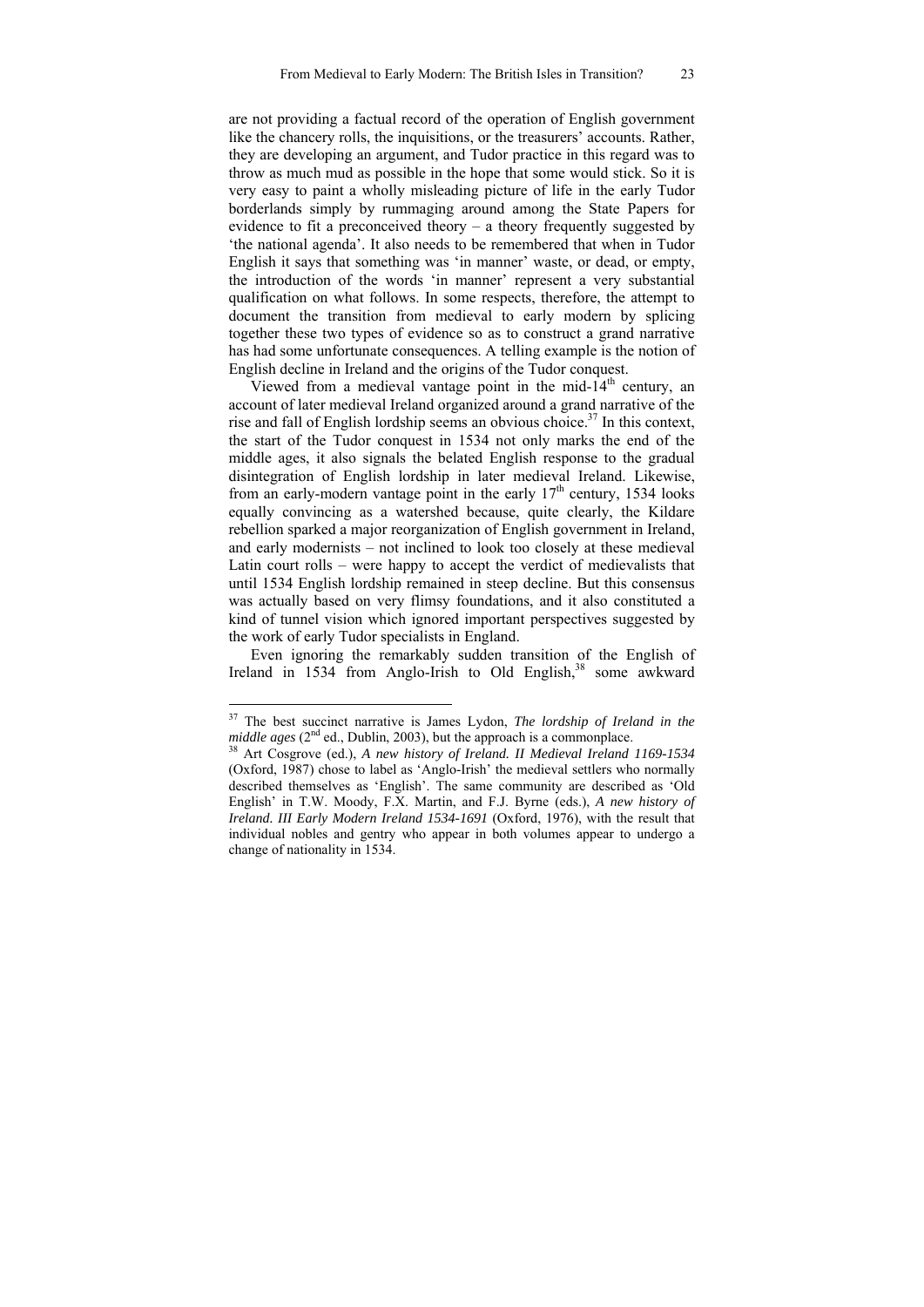are not providing a factual record of the operation of English government like the chancery rolls, the inquisitions, or the treasurers' accounts. Rather, they are developing an argument, and Tudor practice in this regard was to throw as much mud as possible in the hope that some would stick. So it is very easy to paint a wholly misleading picture of life in the early Tudor borderlands simply by rummaging around among the State Papers for evidence to fit a preconceived theory – a theory frequently suggested by 'the national agenda'. It also needs to be remembered that when in Tudor English it says that something was 'in manner' waste, or dead, or empty, the introduction of the words 'in manner' represent a very substantial qualification on what follows. In some respects, therefore, the attempt to document the transition from medieval to early modern by splicing together these two types of evidence so as to construct a grand narrative has had some unfortunate consequences. A telling example is the notion of English decline in Ireland and the origins of the Tudor conquest.

Viewed from a medieval vantage point in the mid- $14<sup>th</sup>$  century, an account of later medieval Ireland organized around a grand narrative of the rise and fall of English lordship seems an obvious choice.<sup>37</sup> In this context, the start of the Tudor conquest in 1534 not only marks the end of the middle ages, it also signals the belated English response to the gradual disintegration of English lordship in later medieval Ireland. Likewise, from an early-modern vantage point in the early  $17<sup>th</sup>$  century, 1534 looks equally convincing as a watershed because, quite clearly, the Kildare rebellion sparked a major reorganization of English government in Ireland, and early modernists – not inclined to look too closely at these medieval Latin court rolls – were happy to accept the verdict of medievalists that until 1534 English lordship remained in steep decline. But this consensus was actually based on very flimsy foundations, and it also constituted a kind of tunnel vision which ignored important perspectives suggested by the work of early Tudor specialists in England.

Even ignoring the remarkably sudden transition of the English of Ireland in 1534 from Anglo-Irish to Old English,<sup>38</sup> some awkward

<sup>37</sup> The best succinct narrative is James Lydon, *The lordship of Ireland in the middle ages* (2<sup>nd</sup> ed., Dublin, 2003), but the approach is a commonplace.<br><sup>38</sup> Art Cosgrove (ed.), *A new history of Ireland. II Medieval Ireland 1169-1534* 

<sup>(</sup>Oxford, 1987) chose to label as 'Anglo-Irish' the medieval settlers who normally described themselves as 'English'. The same community are described as 'Old English' in T.W. Moody, F.X. Martin, and F.J. Byrne (eds.), *A new history of Ireland. III Early Modern Ireland 1534-1691* (Oxford, 1976), with the result that individual nobles and gentry who appear in both volumes appear to undergo a change of nationality in 1534.